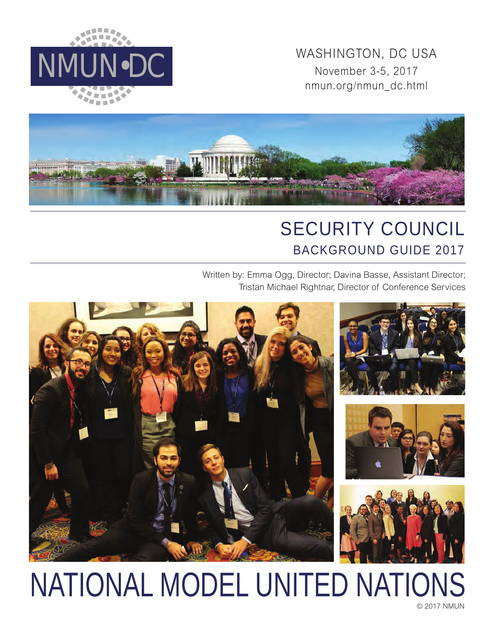WASHINGTON, DC USA<br>
NMUN•DC<br>
WASHINGTON, DC USA<br>
November 3-5, 2017 November 3-5, 2017 nmun.org/nmun\_dc.html





# SECURITY COUNCIL BACKGROUND GUIDE 2017

Written by: Emma Ogg, Director; Davina Basse, Assistant Director; Tristan Michael Rightnar, Director of Conference Services



# NATIONAL MODEL UNITED NATIONS

© 2017 NMUN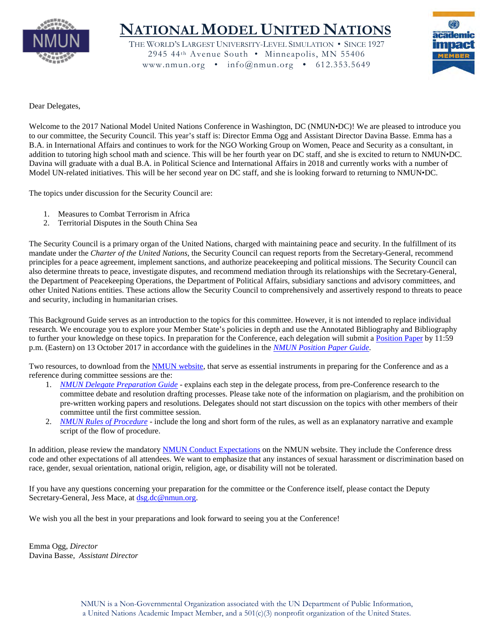

# **NATIONAL MODEL UNITED NATIONS**

THE WORLD'S LARGEST UNIVERSITY-LEVEL SIMULATION • SINCE 1927 2945 44th Avenue South • Minneapolis, MN 55406 www.nmun.org • info@nmun.org • 612.353.5649



Dear Delegates,

Welcome to the 2017 National Model United Nations Conference in Washington, DC (NMUN•DC)! We are pleased to introduce you to our committee, the Security Council. This year's staff is: Director Emma Ogg and Assistant Director Davina Basse. Emma has a B.A. in International Affairs and continues to work for the NGO Working Group on Women, Peace and Security as a consultant, in addition to tutoring high school math and science. This will be her fourth year on DC staff, and she is excited to return to NMUN•DC. Davina will graduate with a dual B.A. in Political Science and International Affairs in 2018 and currently works with a number of Model UN-related initiatives. This will be her second year on DC staff, and she is looking forward to returning to NMUN•DC.

The topics under discussion for the Security Council are:

- 1. Measures to Combat Terrorism in Africa
- 2. Territorial Disputes in the South China Sea

The Security Council is a primary organ of the United Nations, charged with maintaining peace and security. In the fulfillment of its mandate under the *Charter of the United Nations*, the Security Council can request reports from the Secretary-General, recommend principles for a peace agreement, implement sanctions, and authorize peacekeeping and political missions. The Security Council can also determine threats to peace, investigate disputes, and recommend mediation through its relationships with the Secretary-General, the Department of Peacekeeping Operations, the Department of Political Affairs, subsidiary sanctions and advisory committees, and other United Nations entities. These actions allow the Security Council to comprehensively and assertively respond to threats to peace and security, including in humanitarian crises.

This Background Guide serves as an introduction to the topics for this committee. However, it is not intended to replace individual research. We encourage you to explore your Member State's policies in depth and use the Annotated Bibliography and Bibliography to further your knowledge on these topics. In preparation for the Conference, each delegation will submit a [Position Paper](http://nmun.org/dc_position_papers.html) by 11:59 p.m. (Eastern) on 13 October 2017 in accordance with the guidelines in the *[NMUN Position Paper Guide](http://nmun.org/downloads/NMUNPPGuide.pdf)*.

Two resources, to download from the [NMUN website,](http://nmun.org/dc_preparations.html) that serve as essential instruments in preparing for the Conference and as a reference during committee sessions are the:

- 1. *[NMUN Delegate Preparation Guide](http://nmun.org/downloads/NMUNDelegatePrepGuide.pdf)* explains each step in the delegate process, from pre-Conference research to the committee debate and resolution drafting processes. Please take note of the information on plagiarism, and the prohibition on pre-written working papers and resolutions. Delegates should not start discussion on the topics with other members of their committee until the first committee session.
- 2. *[NMUN Rules of Procedure](http://nmun.org/downloads/NMUNRules.pdf)* include the long and short form of the rules, as well as an explanatory narrative and example script of the flow of procedure.

In addition, please review the mandatory [NMUN Conduct](http://nmun.org/policies_codes.html) Expectations on the NMUN website. They include the Conference dress code and other expectations of all attendees. We want to emphasize that any instances of sexual harassment or discrimination based on race, gender, sexual orientation, national origin, religion, age, or disability will not be tolerated.

If you have any questions concerning your preparation for the committee or the Conference itself, please contact the Deputy Secretary-General, Jess Mace, at [dsg.dc@nmun.org.](mailto:dsg.dc@nmun.org)

We wish you all the best in your preparations and look forward to seeing you at the Conference!

Emma Ogg, *Director* Davina Basse, *Assistant Director*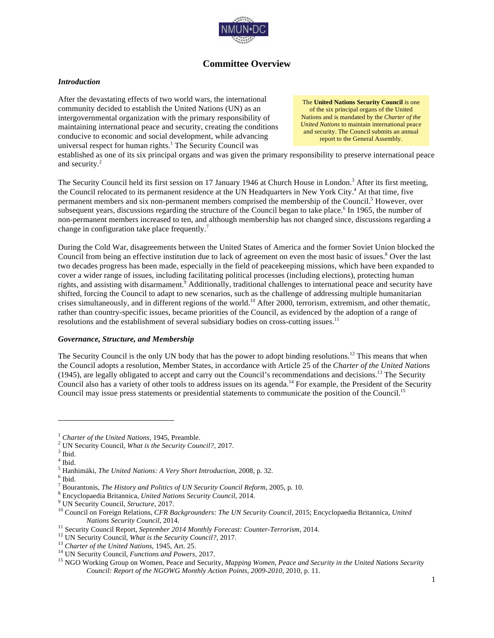

# **Committee Overview**

#### *Introduction*

After the devastating effects of two world wars, the international community decided to establish the United Nations (UN) as an intergovernmental organization with the primary responsibility of maintaining international peace and security, creating the conditions conducive to economic and social development, while advancing universal respect for human rights.<sup>1</sup> The Security Council was

The **United Nations Security Council** is one of the six principal organs of the United Nations and is mandated by the *Charter of the United Nations* to maintain international peace and security. The Council submits an annual report to the General Assembly.

established as one of its six principal organs and was given the primary responsibility to preserve international peace and security.<sup>2</sup>

The Security Council held its first session on 17 January 1946 at Church House in London.<sup>3</sup> After its first meeting, the Council relocated to its permanent residence at the UN Headquarters in New York City.<sup>4</sup> At that time, five permanent members and six non-permanent members comprised the membership of the Council.<sup>5</sup> However, over subsequent years, discussions regarding the structure of the Council began to take place.<sup>6</sup> In 1965, the number of non-permanent members increased to ten, and although membership has not changed since, discussions regarding a change in configuration take place frequently.<sup>7</sup>

During the Cold War, disagreements between the United States of America and the former Soviet Union blocked the Council from being an effective institution due to lack of agreement on even the most basic of issues.<sup>8</sup> Over the last two decades progress has been made, especially in the field of peacekeeping missions, which have been expanded to cover a wider range of issues, including facilitating political processes (including elections), protecting human rights, and assisting with disarmament.<sup>9</sup> Additionally, traditional challenges to international peace and security have shifted, forcing the Council to adapt to new scenarios, such as the challenge of addressing multiple humanitarian crises simultaneously, and in different regions of the world.<sup>10</sup> After 2000, terrorism, extremism, and other thematic, rather than country-specific issues, became priorities of the Council, as evidenced by the adoption of a range of resolutions and the establishment of several subsidiary bodies on cross-cutting issues.<sup>11</sup>

#### *Governance, Structure, and Membership*

The Security Council is the only UN body that has the power to adopt binding resolutions.<sup>12</sup> This means that when the Council adopts a resolution, Member States, in accordance with Article 25 of the *Charter of the United Nations*  (1945), are legally obligated to accept and carry out the Council's recommendations and decisions.<sup>13</sup> The Security Council also has a variety of other tools to address issues on its agenda.<sup>14</sup> For example, the President of the Security Council may issue press statements or presidential statements to communicate the position of the Council.15

<sup>&</sup>lt;sup>1</sup> *Charter of the United Nations*, 1945, Preamble. <sup>2</sup> *UN Security Council, <i>What is the Security Council?*, 2017. <sup>3</sup> *Ibid.* 

 $^4$ Ibid.

<sup>&</sup>lt;sup>5</sup> Hanhimäki, *The United Nations: A Very Short Introduction*, 2008, p. 32.<br><sup>6</sup> Ibid.<br><sup>7</sup> Bourantonis, *The History and Politics of UN Security Council Reform*, 2005, p. 10.

<sup>&</sup>lt;sup>8</sup> Encyclopaedia Britannica, United Nations Security Council, 2014.<br><sup>9</sup> UN Security Council, Structure, 2017.<br><sup>10</sup> Council on Foreign Relations, CFR Backgrounders: The UN Security Council, 2015; Encyclopaedia Britannica,

Nations Security Council, 2014.<br><sup>11</sup> Security Council Report, *September 2014 Monthly Forecast: Counter-Terrorism*, 2014.<br><sup>12</sup> UN Security Council, *What is the Security Council?*, 2017.<br><sup>13</sup> Charter of the United Nations, *Council: Report of the NGOWG Monthly Action Points, 2009-2010*, 2010, p. 11.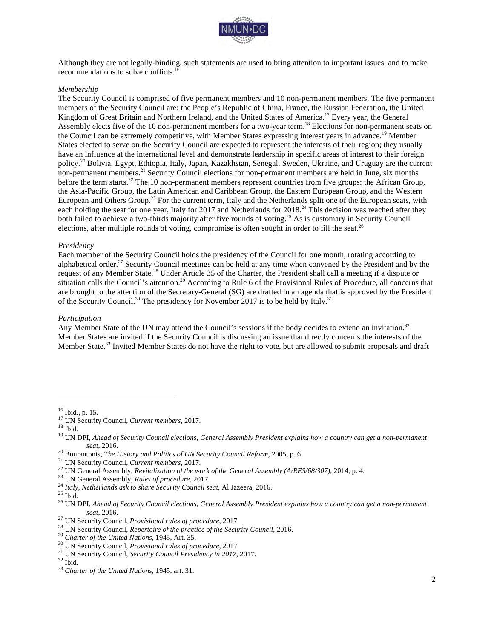

Although they are not legally-binding, such statements are used to bring attention to important issues, and to make recommendations to solve conflicts.<sup>16</sup>

#### *Membership*

The Security Council is comprised of five permanent members and 10 non-permanent members. The five permanent members of the Security Council are: the People's Republic of China, France, the Russian Federation, the United Kingdom of Great Britain and Northern Ireland, and the United States of America.<sup>17</sup> Every year, the General Assembly elects five of the 10 non-permanent members for a two-year term.<sup>18</sup> Elections for non-permanent seats on the Council can be extremely competitive, with Member States expressing interest years in advance.<sup>19</sup> Member States elected to serve on the Security Council are expected to represent the interests of their region; they usually have an influence at the international level and demonstrate leadership in specific areas of interest to their foreign policy.<sup>20</sup> Bolivia, Egypt, Ethiopia, Italy, Japan, Kazakhstan, Senegal, Sweden, Ukraine, and Uruguay are the current non-permanent members.<sup>21</sup> Security Council elections for non-permanent members are held in June, six months before the term starts.<sup>22</sup> The 10 non-permanent members represent countries from five groups: the African Group, the Asia-Pacific Group, the Latin American and Caribbean Group, the Eastern European Group, and the Western European and Others Group.<sup>23</sup> For the current term, Italy and the Netherlands split one of the European seats, with each holding the seat for one year, Italy for 2017 and Netherlands for 2018.<sup>24</sup> This decision was reached after they both failed to achieve a two-thirds majority after five rounds of voting.<sup>25</sup> As is customary in Security Council elections, after multiple rounds of voting, compromise is often sought in order to fill the seat.<sup>26</sup>

#### *Presidency*

Each member of the Security Council holds the presidency of the Council for one month, rotating according to alphabetical order.<sup>27</sup> Security Council meetings can be held at any time when convened by the President and by the request of any Member State.<sup>28</sup> Under Article 35 of the Charter, the President shall call a meeting if a dispute or situation calls the Council's attention.<sup>29</sup> According to Rule 6 of the Provisional Rules of Procedure, all concerns that are brought to the attention of the Secretary-General (SG) are drafted in an agenda that is approved by the President of the Security Council.<sup>30</sup> The presidency for November 2017 is to be held by Italy.<sup>31</sup>

#### *Participation*

Any Member State of the UN may attend the Council's sessions if the body decides to extend an invitation.<sup>32</sup> Member States are invited if the Security Council is discussing an issue that directly concerns the interests of the Member State.<sup>33</sup> Invited Member States do not have the right to vote, but are allowed to submit proposals and draft

<sup>&</sup>lt;sup>16</sup> Ibid., p. 15.<br><sup>17</sup> UN Security Council, *Current members*, 2017.<br><sup>18</sup> Ibid.<br><sup>19</sup> UN DPI, *Ahead of Security Council elections, General Assembly President explains how a country can get a non-permanent* <sup>20</sup> Bourantonis, *The History and Politics of UN Security Council Reform*, 2005, p. 6.<br><sup>21</sup> UN Security Council, *Current members*, 2017.<br><sup>22</sup> UN General Assembly, *Revitalization of the work of the General Assembly (A/RE* 

seat, 2016.<br>
<sup>27</sup> UN Security Council, *Provisional rules of procedure*, 2017.<br>
<sup>28</sup> UN Security Council, *Repertoire of the practice of the Security Council*, 2016.<br>
<sup>29</sup> Charter of the United Nations, 1945, Art. 35.<br>
<sup>30</sup>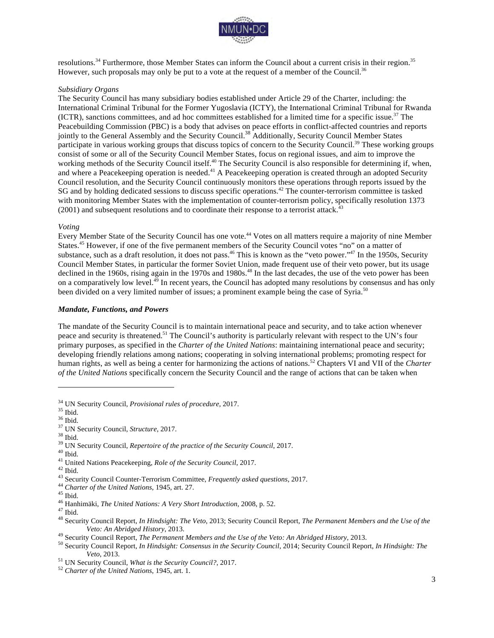

resolutions.<sup>34</sup> Furthermore, those Member States can inform the Council about a current crisis in their region.<sup>35</sup> However, such proposals may only be put to a vote at the request of a member of the Council.<sup>36</sup>

#### *Subsidiary Organs*

The Security Council has many subsidiary bodies established under Article 29 of the Charter, including: the International Criminal Tribunal for the Former Yugoslavia (ICTY), the International Criminal Tribunal for Rwanda (ICTR), sanctions committees, and ad hoc committees established for a limited time for a specific issue.<sup>37</sup> The Peacebuilding Commission (PBC) is a body that advises on peace efforts in conflict-affected countries and reports jointly to the General Assembly and the Security Council.<sup>38</sup> Additionally, Security Council Member States participate in various working groups that discuss topics of concern to the Security Council.<sup>39</sup> These working groups consist of some or all of the Security Council Member States, focus on regional issues, and aim to improve the working methods of the Security Council itself.<sup>40</sup> The Security Council is also responsible for determining if, when, and where a Peacekeeping operation is needed.<sup>41</sup> A Peacekeeping operation is created through an adopted Security Council resolution, and the Security Council continuously monitors these operations through reports issued by the SG and by holding dedicated sessions to discuss specific operations.<sup>42</sup> The counter-terrorism committee is tasked with monitoring Member States with the implementation of counter-terrorism policy, specifically resolution 1373  $(2001)$  and subsequent resolutions and to coordinate their response to a terrorist attack.<sup>43</sup>

#### *Voting*

Every Member State of the Security Council has one vote.<sup>44</sup> Votes on all matters require a majority of nine Member States.<sup>45</sup> However, if one of the five permanent members of the Security Council votes "no" on a matter of substance, such as a draft resolution, it does not pass.<sup>46</sup> This is known as the "veto power."<sup>47</sup> In the 1950s, Security Council Member States, in particular the former Soviet Union, made frequent use of their veto power, but its usage declined in the 1960s, rising again in the 1970s and 1980s.<sup>48</sup> In the last decades, the use of the veto power has been on a comparatively low level.<sup>49</sup> In recent years, the Council has adopted many resolutions by consensus and has only been divided on a very limited number of issues; a prominent example being the case of Syria.<sup>50</sup>

#### *Mandate, Functions, and Powers*

The mandate of the Security Council is to maintain international peace and security, and to take action whenever peace and security is threatened.51 The Council's authority is particularly relevant with respect to the UN's four primary purposes, as specified in the *Charter of the United Nations*: maintaining international peace and security; developing friendly relations among nations; cooperating in solving international problems; promoting respect for human rights, as well as being a center for harmonizing the actions of nations.<sup>52</sup> Chapters VI and VII of the *Charter of the United Nations* specifically concern the Security Council and the range of actions that can be taken when

<sup>&</sup>lt;sup>34</sup> UN Security Council, *Provisional rules of procedure*, 2017.<br><sup>36</sup> Ibid.<br><sup>36</sup> Ibid.<br><sup>37</sup> UN Security Council, *Structure*, 2017.<br><sup>39</sup> UN Security Council, *Repertoire of the practice of the Security Council*, 2017.<br><sup>40</sup>

Veto: An Abridged History, 2013.<br><sup>49</sup> Security Council Report, *The Permanent Members and the Use of the Veto: An Abridged History*, 2013.<br><sup>50</sup> Security Council Report, *In Hindsight: Consensus in the Security Council*, 20 *Veto*, 2013. <sup>51</sup> UN Security Council, *What is the Security Council?*, 2017. 52 *Charter of the United Nations*, 1945, art. 1.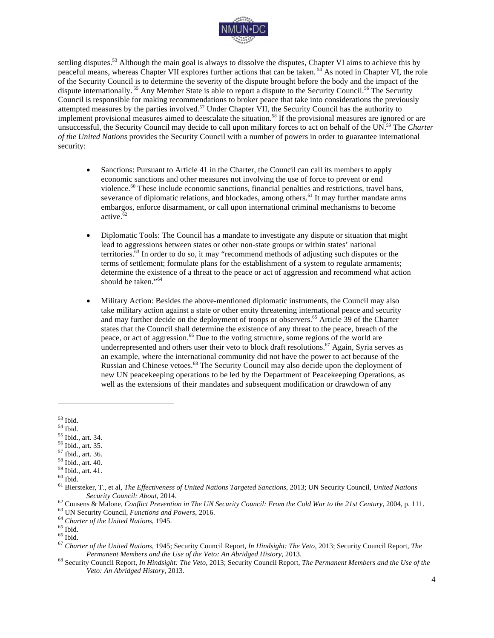

settling disputes.<sup>53</sup> Although the main goal is always to dissolve the disputes, Chapter VI aims to achieve this by peaceful means, whereas Chapter VII explores further actions that can be taken. <sup>54</sup> As noted in Chapter VI, the role of the Security Council is to determine the severity of the dispute brought before the body and the impact of the dispute internationally. <sup>55</sup> Any Member State is able to report a dispute to the Security Council.<sup>56</sup> The Security Council is responsible for making recommendations to broker peace that take into considerations the previously attempted measures by the parties involved.<sup>57</sup> Under Chapter VII, the Security Council has the authority to implement provisional measures aimed to deescalate the situation.<sup>58</sup> If the provisional measures are ignored or are unsuccessful, the Security Council may decide to call upon military forces to act on behalf of the UN.59 The *Charter of the United Nations* provides the Security Council with a number of powers in order to guarantee international security:

- Sanctions: Pursuant to Article 41 in the Charter, the Council can call its members to apply economic sanctions and other measures not involving the use of force to prevent or end violence.<sup>60</sup> These include economic sanctions, financial penalties and restrictions, travel bans, severance of diplomatic relations, and blockades, among others.<sup>61</sup> It may further mandate arms embargos, enforce disarmament, or call upon international criminal mechanisms to become active.<sup>62</sup>
- Diplomatic Tools: The Council has a mandate to investigate any dispute or situation that might lead to aggressions between states or other non-state groups or within states' national territories.63 In order to do so, it may "recommend methods of adjusting such disputes or the terms of settlement; formulate plans for the establishment of a system to regulate armaments; determine the existence of a threat to the peace or act of aggression and recommend what action should be taken."<sup>64</sup>
- Military Action: Besides the above-mentioned diplomatic instruments, the Council may also take military action against a state or other entity threatening international peace and security and may further decide on the deployment of troops or observers.<sup>65</sup> Article 39 of the Charter states that the Council shall determine the existence of any threat to the peace, breach of the peace, or act of aggression.<sup>66</sup> Due to the voting structure, some regions of the world are underrepresented and others user their veto to block draft resolutions.<sup>67</sup> Again, Syria serves as an example, where the international community did not have the power to act because of the Russian and Chinese vetoes.<sup>68</sup> The Security Council may also decide upon the deployment of new UN peacekeeping operations to be led by the Department of Peacekeeping Operations, as well as the extensions of their mandates and subsequent modification or drawdown of any

- 
- 
- 
- 
- 

<sup>&</sup>lt;sup>53</sup> Ibid.<br><sup>54</sup> Ibid.<br><sup>55</sup> Ibid., art. 34.<br><sup>56</sup> Ibid., art. 35.<br><sup>57</sup> Ibid., art. 36.<br><sup>59</sup> Ibid., art. 40.<br><sup>59</sup> Ibid., art. 41.<br><sup>60</sup> Ibid., art. 41.<br><sup>60</sup> Ibid., art. 41.<br><sup>60</sup> Ibid., art. 41.<br><sup>61</sup> Biersteker, T., et al, *The* 

<sup>&</sup>lt;sup>62</sup> Cousens & Malone, *Conflict Prevention in The UN Security Council: From the Cold War to the 21st Century*, 2004, p. 111.<br><sup>63</sup> UN Security Council, *Functions and Powers*, 2016.<br><sup>64</sup> Charter of the United Nations, 194 *Permanent Members and the Use of the Veto: An Abridged History*, 2013.<br><sup>68</sup> Security Council Report, *In Hindsight: The Veto*, 2013; Security Council Report, *The Permanent Members and the Use of the* 

*Veto: An Abridged History*, 2013.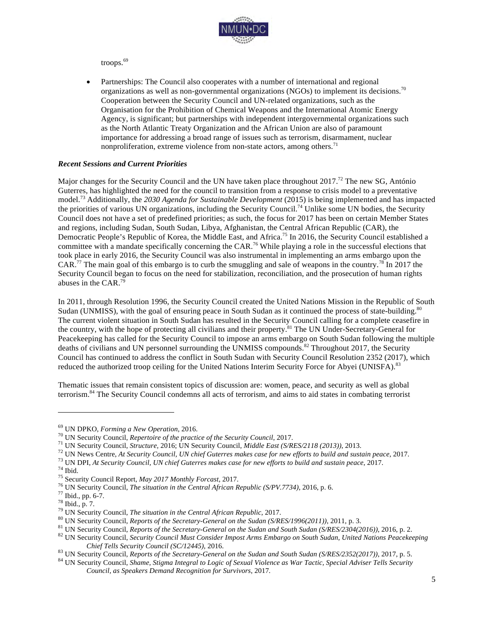

troops.<sup>69</sup>

• Partnerships: The Council also cooperates with a number of international and regional organizations as well as non-governmental organizations (NGOs) to implement its decisions.<sup>70</sup> Cooperation between the Security Council and UN-related organizations, such as the Organisation for the Prohibition of Chemical Weapons and the International Atomic Energy Agency, is significant; but partnerships with independent intergovernmental organizations such as the North Atlantic Treaty Organization and the African Union are also of paramount importance for addressing a broad range of issues such as terrorism, disarmament, nuclear nonproliferation, extreme violence from non-state actors, among others. $71$ 

#### *Recent Sessions and Current Priorities*

Major changes for the Security Council and the UN have taken place throughout 2017.<sup>72</sup> The new SG, António Guterres, has highlighted the need for the council to transition from a response to crisis model to a preventative model.<sup>73</sup> Additionally, the *2030 Agenda for Sustainable Development* (2015) is being implemented and has impacted the priorities of various UN organizations, including the Security Council.<sup>74</sup> Unlike some UN bodies, the Security Council does not have a set of predefined priorities; as such, the focus for 2017 has been on certain Member States and regions, including Sudan, South Sudan, Libya, Afghanistan, the Central African Republic (CAR), the Democratic People's Republic of Korea, the Middle East, and Africa.<sup>75</sup> In 2016, the Security Council established a committee with a mandate specifically concerning the CAR.<sup>76</sup> While playing a role in the successful elections that took place in early 2016, the Security Council was also instrumental in implementing an arms embargo upon the CAR.<sup>77</sup> The main goal of this embargo is to curb the smuggling and sale of weapons in the country.<sup>78</sup> In 2017 the Security Council began to focus on the need for stabilization, reconciliation, and the prosecution of human rights abuses in the CAR.<sup>79</sup>

In 2011, through Resolution 1996, the Security Council created the United Nations Mission in the Republic of South Sudan (UNMISS), with the goal of ensuring peace in South Sudan as it continued the process of state-building.<sup>80</sup> The current violent situation in South Sudan has resulted in the Security Council calling for a complete ceasefire in the country, with the hope of protecting all civilians and their property.<sup>81</sup> The UN Under-Secretary-General for Peacekeeping has called for the Security Council to impose an arms embargo on South Sudan following the multiple deaths of civilians and UN personnel surrounding the UNMISS compounds.<sup>82</sup> Throughout 2017, the Security Council has continued to address the conflict in South Sudan with Security Council Resolution 2352 (2017), which reduced the authorized troop ceiling for the United Nations Interim Security Force for Abyei (UNISFA).<sup>83</sup>

Thematic issues that remain consistent topics of discussion are: women, peace, and security as well as global terrorism.<sup>84</sup> The Security Council condemns all acts of terrorism, and aims to aid states in combating terrorist

<sup>&</sup>lt;sup>69</sup> UN DPKO, *Forming a New Operation*, 2016.<br><sup>70</sup> UN Security Council, *Repertoire of the practice of the Security Council, 2017.*<br><sup>71</sup> UN Security Council, *Structure, 2016*; UN Security Council, *Middle East (S/RES/211* Chief Tells Security Council (SC/12445), 2016.<br><sup>83</sup> UN Security Council, *Reports of the Secretary-General on the Sudan and South Sudan (S/RES/2352(2017)), 2017, p. 5.*<br><sup>84</sup> UN Security Council, *Shame, Stigma Integral to* 

*Council, as Speakers Demand Recognition for Survivors*, 2017*.*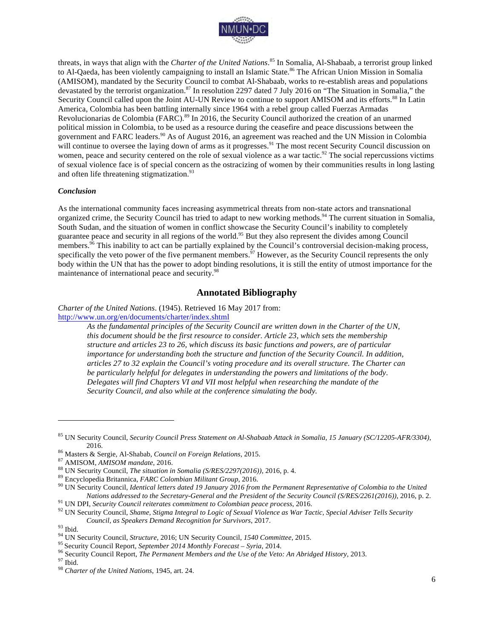

threats, in ways that align with the *Charter of the United Nations*. <sup>85</sup> In Somalia, Al-Shabaab, a terrorist group linked to Al-Qaeda, has been violently campaigning to install an Islamic State.<sup>86</sup> The African Union Mission in Somalia (AMISOM), mandated by the Security Council to combat Al-Shabaab, works to re-establish areas and populations devastated by the terrorist organization.<sup>87</sup> In resolution 2297 dated 7 July 2016 on "The Situation in Somalia," the Security Council called upon the Joint AU-UN Review to continue to support AMISOM and its efforts.<sup>88</sup> In Latin America, Colombia has been battling internally since 1964 with a rebel group called Fuerzas Armadas Revolucionarias de Colombia (FARC).<sup>89</sup> In 2016, the Security Council authorized the creation of an unarmed political mission in Colombia, to be used as a resource during the ceasefire and peace discussions between the government and FARC leaders.<sup>90</sup> As of August 2016, an agreement was reached and the UN Mission in Colombia will continue to oversee the laying down of arms as it progresses.<sup>91</sup> The most recent Security Council discussion on women, peace and security centered on the role of sexual violence as a war tactic.<sup>92</sup> The social repercussions victims of sexual violence face is of special concern as the ostracizing of women by their communities results in long lasting and often life threatening stigmatization.<sup>93</sup>

#### *Conclusion*

As the international community faces increasing asymmetrical threats from non-state actors and transnational organized crime, the Security Council has tried to adapt to new working methods.<sup>94</sup> The current situation in Somalia, South Sudan, and the situation of women in conflict showcase the Security Council's inability to completely guarantee peace and security in all regions of the world.95 But they also represent the divides among Council members. $96$  This inability to act can be partially explained by the Council's controversial decision-making process, specifically the veto power of the five permanent members.<sup>97</sup> However, as the Security Council represents the only body within the UN that has the power to adopt binding resolutions, it is still the entity of utmost importance for the maintenance of international peace and security.<sup>98</sup>

#### **Annotated Bibliography**

*Charter of the United Nations*. (1945). Retrieved 16 May 2017 from:

http://www.un.org/en/documents/charter/index.shtml

*As the fundamental principles of the Security Council are written down in the Charter of the UN, this document should be the first resource to consider. Article 23, which sets the membership structure and articles 23 to 26, which discuss its basic functions and powers, are of particular importance for understanding both the structure and function of the Security Council. In addition, articles 27 to 32 explain the Council's voting procedure and its overall structure. The Charter can be particularly helpful for delegates in understanding the powers and limitations of the body. Delegates will find Chapters VI and VII most helpful when researching the mandate of the Security Council, and also while at the conference simulating the body.*

<sup>85</sup> UN Security Council, *Security Council Press Statement on Al-Shabaab Attack in Somalia, 15 January (SC/12205-AFR/3304)*,

<sup>2016.&</sup>lt;br><sup>86</sup> Masters & Sergie, Al-Shabab, *Council on Foreign Relations*, 2015.<br><sup>87</sup> AMISOM, *AMISOM mandate*, 2016.<br><sup>88</sup> UN Security Council, *The situation in Somalia (S/RES/2297(2016))*, 2016, p. 4.<br><sup>89</sup> Encyclopedia Brit Nations addressed to the Secretary-General and the President of the Security Council (S/RES/2261(2016)), 2016, p. 2.<br><sup>91</sup> UN DPI, Security Council reiterates commitment to Colombian peace process, 2016.<br><sup>92</sup> UN Security Co

Council, as Speakers Demand Recognition for Survivors, 2017.<br><sup>93</sup> Ibid.<br><sup>94</sup> UN Security Council, *Structure*, 2016; UN Security Council, *1540 Committee*, 2015.<br><sup>95</sup> Security Council Report, *September 2014 Monthly Forec*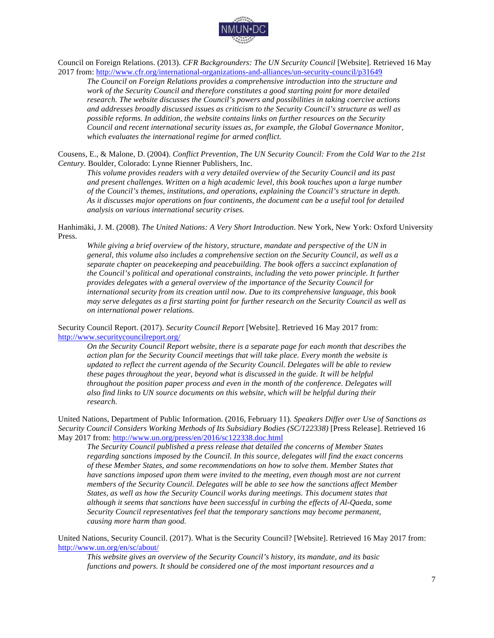

Council on Foreign Relations. (2013). *CFR Backgrounders: The UN Security Council* [Website]. Retrieved 16 May 2017 from: http://www.cfr.org/international-organizations-and-alliances/un-security-council/p31649

*The Council on Foreign Relations provides a comprehensive introduction into the structure and work of the Security Council and therefore constitutes a good starting point for more detailed research. The website discusses the Council's powers and possibilities in taking coercive actions and addresses broadly discussed issues as criticism to the Security Council's structure as well as possible reforms. In addition, the website contains links on further resources on the Security Council and recent international security issues as, for example, the Global Governance Monitor, which evaluates the international regime for armed conflict.*

Cousens, E., & Malone, D. (2004). *Conflict Prevention*, *The UN Security Council: From the Cold War to the 21st Century.* Boulder, Colorado: Lynne Rienner Publishers, Inc.

*This volume provides readers with a very detailed overview of the Security Council and its past and present challenges. Written on a high academic level, this book touches upon a large number of the Council's themes, institutions, and operations, explaining the Council's structure in depth. As it discusses major operations on four continents, the document can be a useful tool for detailed analysis on various international security crises.*

Hanhimäki, J. M. (2008). *The United Nations: A Very Short Introduction*. New York, New York: Oxford University Press.

*While giving a brief overview of the history, structure, mandate and perspective of the UN in general, this volume also includes a comprehensive section on the Security Council, as well as a separate chapter on peacekeeping and peacebuilding. The book offers a succinct explanation of the Council's political and operational constraints, including the veto power principle. It further provides delegates with a general overview of the importance of the Security Council for international security from its creation until now. Due to its comprehensive language, this book may serve delegates as a first starting point for further research on the Security Council as well as on international power relations.*

Security Council Report. (2017). *Security Council Report* [Website]. Retrieved 16 May 2017 from: http://www.securitycouncilreport.org/

*On the Security Council Report website, there is a separate page for each month that describes the action plan for the Security Council meetings that will take place. Every month the website is updated to reflect the current agenda of the Security Council. Delegates will be able to review these pages throughout the year, beyond what is discussed in the guide. It will be helpful throughout the position paper process and even in the month of the conference. Delegates will also find links to UN source documents on this website, which will be helpful during their research.* 

United Nations, Department of Public Information. (2016, February 11). *Speakers Differ over Use of Sanctions as Security Council Considers Working Methods of Its Subsidiary Bodies (SC/122338)* [Press Release]. Retrieved 16 May 2017 from: http://www.un.org/press/en/2016/sc122338.doc.html

*The Security Council published a press release that detailed the concerns of Member States regarding sanctions imposed by the Council. In this source, delegates will find the exact concerns of these Member States, and some recommendations on how to solve them. Member States that have sanctions imposed upon them were invited to the meeting, even though most are not current members of the Security Council. Delegates will be able to see how the sanctions affect Member States, as well as how the Security Council works during meetings. This document states that although it seems that sanctions have been successful in curbing the effects of Al-Qaeda, some Security Council representatives feel that the temporary sanctions may become permanent, causing more harm than good.* 

United Nations, Security Council. (2017). What is the Security Council? [Website]. Retrieved 16 May 2017 from: http://www.un.org/en/sc/about/

*This website gives an overview of the Security Council's history, its mandate, and its basic functions and powers. It should be considered one of the most important resources and a*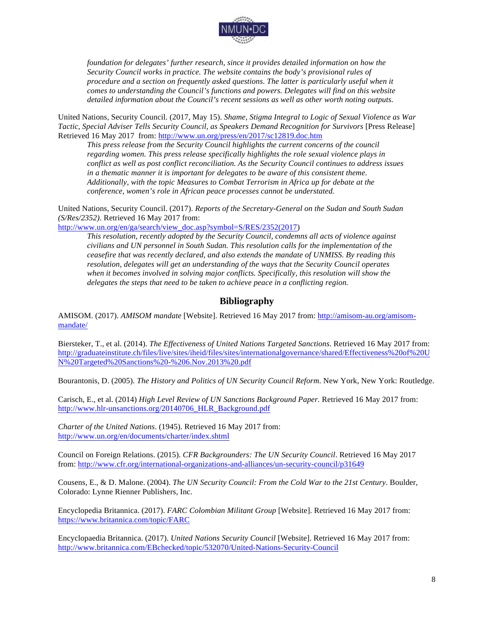

*foundation for delegates' further research, since it provides detailed information on how the Security Council works in practice. The website contains the body's provisional rules of procedure and a section on frequently asked questions. The latter is particularly useful when it comes to understanding the Council's functions and powers. Delegates will find on this website detailed information about the Council's recent sessions as well as other worth noting outputs.*

United Nations, Security Council. (2017, May 15). *Shame, Stigma Integral to Logic of Sexual Violence as War Tactic, Special Adviser Tells Security Council, as Speakers Demand Recognition for Survivors* [Press Release] Retrieved 16 May 2017 from: http://www.un.org/press/en/2017/sc12819.doc.htm

*This press release from the Security Council highlights the current concerns of the council regarding women. This press release specifically highlights the role sexual violence plays in conflict as well as post conflict reconciliation. As the Security Council continues to address issues in a thematic manner it is important for delegates to be aware of this consistent theme. Additionally, with the topic Measures to Combat Terrorism in Africa up for debate at the conference, women's role in African peace processes cannot be understated.* 

United Nations, Security Council. (2017). *Reports of the Secretary-General on the Sudan and South Sudan (S/Res/2352)*. Retrieved 16 May 2017 from:

http://www.un.org/en/ga/search/view\_doc.asp?symbol=S/RES/2352(2017)

*This resolution, recently adopted by the Security Council, condemns all acts of violence against civilians and UN personnel in South Sudan. This resolution calls for the implementation of the ceasefire that was recently declared, and also extends the mandate of UNMISS. By reading this resolution, delegates will get an understanding of the ways that the Security Council operates when it becomes involved in solving major conflicts. Specifically, this resolution will show the delegates the steps that need to be taken to achieve peace in a conflicting region.*

#### **Bibliography**

AMISOM. (2017). *AMISOM mandate* [Website]. Retrieved 16 May 2017 from: http://amisom-au.org/amisommandate/

Biersteker, T., et al. (2014). *The Effectiveness of United Nations Targeted Sanctions*. Retrieved 16 May 2017 from: http://graduateinstitute.ch/files/live/sites/iheid/files/sites/internationalgovernance/shared/Effectiveness%20of%20U N%20Targeted%20Sanctions%20-%206.Nov.2013%20.pdf

Bourantonis, D. (2005). *The History and Politics of UN Security Council Reform*. New York, New York: Routledge.

Carisch, E., et al. (2014) *High Level Review of UN Sanctions Background Paper.* Retrieved 16 May 2017 from: http://www.hlr-unsanctions.org/20140706\_HLR\_Background.pdf

*Charter of the United Nations*. (1945). Retrieved 16 May 2017 from: http://www.un.org/en/documents/charter/index.shtml

Council on Foreign Relations. (2015). *CFR Backgrounders: The UN Security Council*. Retrieved 16 May 2017 from: http://www.cfr.org/international-organizations-and-alliances/un-security-council/p31649

Cousens, E., & D. Malone. (2004). *The UN Security Council: From the Cold War to the 21st Century*. Boulder, Colorado: Lynne Rienner Publishers, Inc.

Encyclopedia Britannica. (2017). *FARC Colombian Militant Group* [Website]. Retrieved 16 May 2017 from: https://www.britannica.com/topic/FARC

Encyclopaedia Britannica. (2017). *United Nations Security Council* [Website]. Retrieved 16 May 2017 from: http://www.britannica.com/EBchecked/topic/532070/United-Nations-Security-Council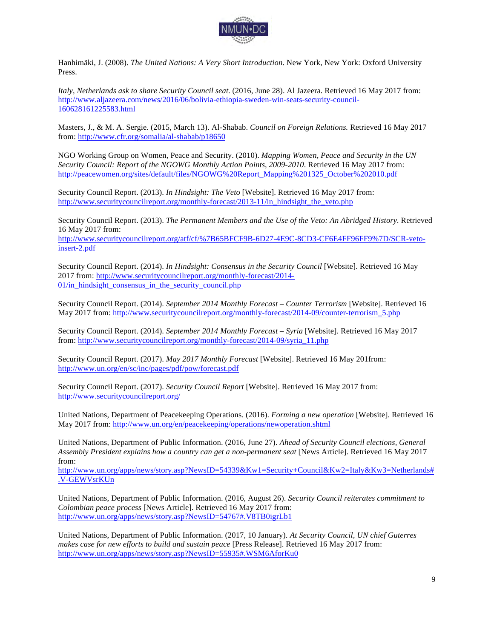

Hanhimäki, J. (2008). *The United Nations: A Very Short Introduction*. New York, New York: Oxford University Press.

*Italy, Netherlands ask to share Security Council seat.* (2016, June 28). Al Jazeera. Retrieved 16 May 2017 from: http://www.aljazeera.com/news/2016/06/bolivia-ethiopia-sweden-win-seats-security-council-160628161225583.html

Masters, J., & M. A. Sergie. (2015, March 13). Al-Shabab. *Council on Foreign Relations.* Retrieved 16 May 2017 from: http://www.cfr.org/somalia/al-shabab/p18650

NGO Working Group on Women, Peace and Security. (2010). *Mapping Women, Peace and Security in the UN Security Council: Report of the NGOWG Monthly Action Points, 2009-2010*. Retrieved 16 May 2017 from: http://peacewomen.org/sites/default/files/NGOWG%20Report\_Mapping%201325\_October%202010.pdf

Security Council Report. (2013). *In Hindsight: The Veto* [Website]. Retrieved 16 May 2017 from: http://www.securitycouncilreport.org/monthly-forecast/2013-11/in\_hindsight\_the\_veto.php

Security Council Report. (2013). *The Permanent Members and the Use of the Veto: An Abridged History.* Retrieved 16 May 2017 from:

http://www.securitycouncilreport.org/atf/cf/%7B65BFCF9B-6D27-4E9C-8CD3-CF6E4FF96FF9%7D/SCR-vetoinsert-2.pdf

Security Council Report. (2014). *In Hindsight: Consensus in the Security Council* [Website]. Retrieved 16 May 2017 from: http://www.securitycouncilreport.org/monthly-forecast/2014-  $01/in$  hindsight consensus in the security council.php

Security Council Report. (2014). *September 2014 Monthly Forecast – Counter Terrorism* [Website]. Retrieved 16 May 2017 from: http://www.securitycouncilreport.org/monthly-forecast/2014-09/counter-terrorism\_5.php

Security Council Report. (2014). *September 2014 Monthly Forecast – Syria* [Website]. Retrieved 16 May 2017 from: http://www.securitycouncilreport.org/monthly-forecast/2014-09/syria\_11.php

Security Council Report. (2017). *May 2017 Monthly Forecast* [Website]. Retrieved 16 May 201from: http://www.un.org/en/sc/inc/pages/pdf/pow/forecast.pdf

Security Council Report. (2017). *Security Council Report* [Website]. Retrieved 16 May 2017 from: http://www.securitycouncilreport.org/

United Nations, Department of Peacekeeping Operations. (2016). *Forming a new operation* [Website]. Retrieved 16 May 2017 from: http://www.un.org/en/peacekeeping/operations/newoperation.shtml

United Nations, Department of Public Information. (2016, June 27). *Ahead of Security Council elections, General Assembly President explains how a country can get a non-permanent seat* [News Article]. Retrieved 16 May 2017 from:

http://www.un.org/apps/news/story.asp?NewsID=54339&Kw1=Security+Council&Kw2=Italy&Kw3=Netherlands# .V-GEWVsrKUn

United Nations, Department of Public Information. (2016, August 26). *Security Council reiterates commitment to Colombian peace process* [News Article]. Retrieved 16 May 2017 from: http://www.un.org/apps/news/story.asp?NewsID=54767#.V8TB0igrLb1

United Nations, Department of Public Information. (2017, 10 January). *At Security Council, UN chief Guterres makes case for new efforts to build and sustain peace* [Press Release]. Retrieved 16 May 2017 from: http://www.un.org/apps/news/story.asp?NewsID=55935#.WSM6AforKu0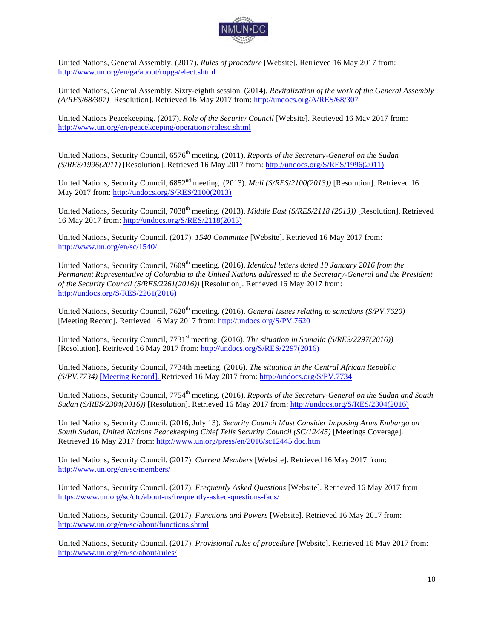

United Nations, General Assembly. (2017). *Rules of procedure* [Website]. Retrieved 16 May 2017 from: http://www.un.org/en/ga/about/ropga/elect.shtml

United Nations, General Assembly, Sixty-eighth session. (2014). *Revitalization of the work of the General Assembly (A/RES/68/307)* [Resolution]. Retrieved 16 May 2017 from: http://undocs.org/A/RES/68/307

United Nations Peacekeeping. (2017). *Role of the Security Council* [Website]. Retrieved 16 May 2017 from: http://www.un.org/en/peacekeeping/operations/rolesc.shtml

United Nations, Security Council, 6576<sup>th</sup> meeting. (2011). *Reports of the Secretary-General on the Sudan (S/RES/1996(2011)* [Resolution]. Retrieved 16 May 2017 from: http://undocs.org/S/RES/1996(2011)

United Nations, Security Council, 6852<sup>nd</sup> meeting. (2013). *Mali (S/RES/2100(2013))* [Resolution]. Retrieved 16 May 2017 from: http://undocs.org/S/RES/2100(2013)

United Nations, Security Council, 7038<sup>th</sup> meeting. (2013). *Middle East (S/RES/2118 (2013))* [Resolution]. Retrieved 16 May 2017 from: http://undocs.org/S/RES/2118(2013)

United Nations, Security Council. (2017). *1540 Committee* [Website]. Retrieved 16 May 2017 from: http://www.un.org/en/sc/1540/

United Nations, Security Council, 7609<sup>th</sup> meeting. (2016). *Identical letters dated 19 January 2016 from the Permanent Representative of Colombia to the United Nations addressed to the Secretary-General and the President of the Security Council (S/RES/2261(2016))* [Resolution]. Retrieved 16 May 2017 from: http://undocs.org/S/RES/2261(2016)

United Nations, Security Council, 7620<sup>th</sup> meeting. (2016). *General issues relating to sanctions (S/PV.7620)* [Meeting Record]. Retrieved 16 May 2017 from: http://undocs.org/S/PV.7620

United Nations, Security Council, 7731<sup>st</sup> meeting. (2016). *The situation in Somalia (S/RES/2297(2016)*) [Resolution]. Retrieved 16 May 2017 from: http://undocs.org/S/RES/2297(2016)

United Nations, Security Council, 7734th meeting. (2016). *The situation in the Central African Republic (S/PV.7734)* [Meeting Record]. Retrieved 16 May 2017 from: http://undocs.org/S/PV.7734

United Nations, Security Council, 7754<sup>th</sup> meeting. (2016). *Reports of the Secretary-General on the Sudan and South Sudan (S/RES/2304(2016))* [Resolution]. Retrieved 16 May 2017 from: http://undocs.org/S/RES/2304(2016)

United Nations, Security Council. (2016, July 13). *Security Council Must Consider Imposing Arms Embargo on South Sudan, United Nations Peacekeeping Chief Tells Security Council (SC/12445)* [Meetings Coverage]. Retrieved 16 May 2017 from: http://www.un.org/press/en/2016/sc12445.doc.htm

United Nations, Security Council. (2017). *Current Members* [Website]. Retrieved 16 May 2017 from: http://www.un.org/en/sc/members/

United Nations, Security Council. (2017). *Frequently Asked Questions* [Website]. Retrieved 16 May 2017 from: https://www.un.org/sc/ctc/about-us/frequently-asked-questions-faqs/

United Nations, Security Council. (2017). *Functions and Powers* [Website]. Retrieved 16 May 2017 from: http://www.un.org/en/sc/about/functions.shtml

United Nations, Security Council. (2017). *Provisional rules of procedure* [Website]. Retrieved 16 May 2017 from: http://www.un.org/en/sc/about/rules/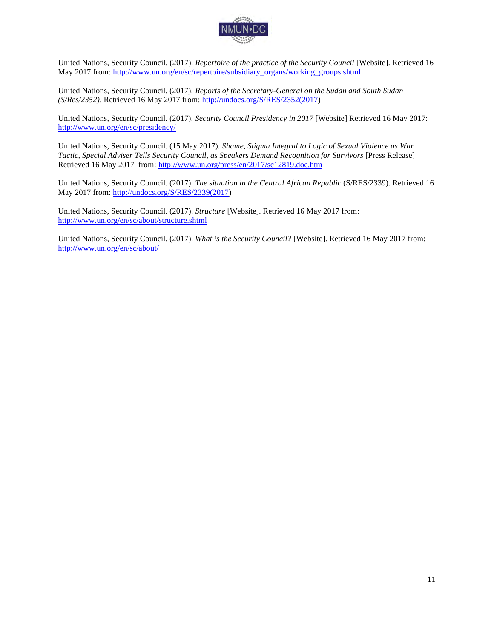

United Nations, Security Council. (2017). *Repertoire of the practice of the Security Council* [Website]. Retrieved 16 May 2017 from: http://www.un.org/en/sc/repertoire/subsidiary\_organs/working\_groups.shtml

United Nations, Security Council. (2017). *Reports of the Secretary-General on the Sudan and South Sudan (S/Res/2352)*. Retrieved 16 May 2017 from: http://undocs.org/S/RES/2352(2017)

United Nations, Security Council. (2017). *Security Council Presidency in 2017* [Website] Retrieved 16 May 2017: http://www.un.org/en/sc/presidency/

United Nations, Security Council. (15 May 2017). *Shame, Stigma Integral to Logic of Sexual Violence as War Tactic, Special Adviser Tells Security Council, as Speakers Demand Recognition for Survivors* [Press Release] Retrieved 16 May 2017 from: http://www.un.org/press/en/2017/sc12819.doc.htm

United Nations, Security Council. (2017). *The situation in the Central African Republic* (S/RES/2339). Retrieved 16 May 2017 from: http://undocs.org/S/RES/2339(2017)

United Nations, Security Council. (2017). *Structure* [Website]. Retrieved 16 May 2017 from: http://www.un.org/en/sc/about/structure.shtml

United Nations, Security Council. (2017). *What is the Security Council?* [Website]. Retrieved 16 May 2017 from: http://www.un.org/en/sc/about/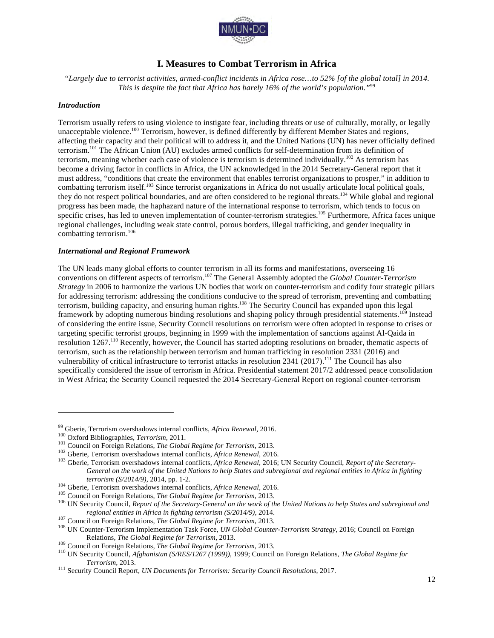

# **I. Measures to Combat Terrorism in Africa**

*"Largely due to terrorist activities, armed-conflict incidents in Africa rose…to 52% [of the global total] in 2014. This is despite the fact that Africa has barely 16% of the world's population."*<sup>99</sup>

#### *Introduction*

Terrorism usually refers to using violence to instigate fear, including threats or use of culturally, morally, or legally unacceptable violence.<sup>100</sup> Terrorism, however, is defined differently by different Member States and regions, affecting their capacity and their political will to address it, and the United Nations (UN) has never officially defined terrorism.<sup>101</sup> The African Union (AU) excludes armed conflicts for self-determination from its definition of terrorism, meaning whether each case of violence is terrorism is determined individually.<sup>102</sup> As terrorism has become a driving factor in conflicts in Africa, the UN acknowledged in the 2014 Secretary-General report that it must address, "conditions that create the environment that enables terrorist organizations to prosper," in addition to combatting terrorism itself.<sup>103</sup> Since terrorist organizations in Africa do not usually articulate local political goals, they do not respect political boundaries, and are often considered to be regional threats.<sup>104</sup> While global and regional progress has been made, the haphazard nature of the international response to terrorism, which tends to focus on specific crises, has led to uneven implementation of counter-terrorism strategies.<sup>105</sup> Furthermore, Africa faces unique regional challenges, including weak state control, porous borders, illegal trafficking, and gender inequality in combatting terrorism.<sup>106</sup>

#### *International and Regional Framework*

The UN leads many global efforts to counter terrorism in all its forms and manifestations, overseeing 16 conventions on different aspects of terrorism.<sup>107</sup> The General Assembly adopted the *Global Counter-Terrorism Strategy* in 2006 to harmonize the various UN bodies that work on counter-terrorism and codify four strategic pillars for addressing terrorism: addressing the conditions conducive to the spread of terrorism, preventing and combatting terrorism, building capacity, and ensuring human rights.<sup>108</sup> The Security Council has expanded upon this legal framework by adopting numerous binding resolutions and shaping policy through presidential statements.<sup>109</sup> Instead of considering the entire issue, Security Council resolutions on terrorism were often adopted in response to crises or targeting specific terrorist groups, beginning in 1999 with the implementation of sanctions against Al-Qaida in resolution 1267.<sup>110</sup> Recently, however, the Council has started adopting resolutions on broader, thematic aspects of terrorism, such as the relationship between terrorism and human trafficking in resolution 2331 (2016) and vulnerability of critical infrastructure to terrorist attacks in resolution  $2341$  (2017).<sup>111</sup> The Council has also specifically considered the issue of terrorism in Africa. Presidential statement 2017/2 addressed peace consolidation in West Africa; the Security Council requested the 2014 Secretary-General Report on regional counter-terrorism

<sup>&</sup>lt;sup>99</sup> Gberie, Terrorism overshadows internal conflicts, Africa Renewal, 2016.<br><sup>100</sup> Oxford Bibliographies, *Terrorism*, 2011.<br><sup>101</sup> Council on Foreign Relations, *The Global Regime for Terrorism*, 2013.<br><sup>102</sup> Gberie, Terror *General on the work of the United Nations to help States and subregional and regional entities in Africa in fighting terrorism (S/2014/9), 2014, pp. 1-2.*<br><sup>104</sup> Gberie, Terrorism overshadows internal conflicts, *Africa Renewal, 2016.*<br><sup>105</sup> Council on Foreign Relations, *The Global Regime for Terrorism, 2013.*<br><sup>106</sup> UN Security Council,

regional entities in Africa in fighting terrorism (S/2014/9), 2014.<br><sup>107</sup> Council on Foreign Relations, *The Global Regime for Terrorism*, 2013.<br><sup>108</sup> UN Counter-Terrorism Implementation Task Force, *UN Global Counter-Terr* 

Relations, *The Global Regime for Terrorism*, 2013.<br><sup>109</sup> Council on Foreign Relations, *The Global Regime for Terrorism*, 2013.<br><sup>110</sup> UN Security Council, *Afghanistan (S/RES/1267 (1999))*, 1999; Council on Foreign Relati

*Terrorism*, 2013.<br><sup>111</sup> Security Council Report, *UN Documents for Terrorism: Security Council Resolutions*, 2017.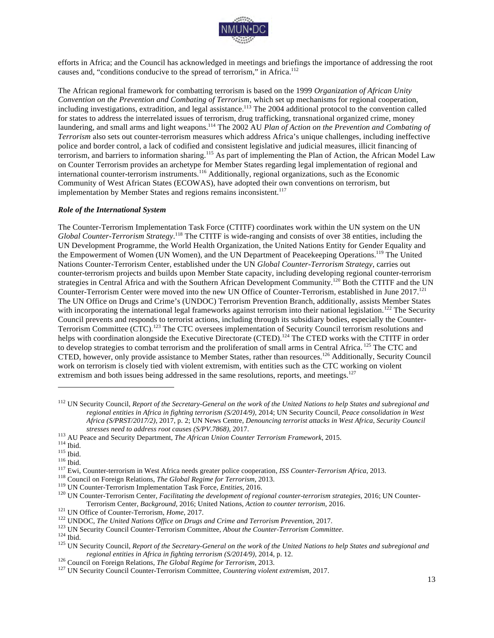

efforts in Africa; and the Council has acknowledged in meetings and briefings the importance of addressing the root causes and, "conditions conducive to the spread of terrorism," in Africa.<sup>112</sup>

The African regional framework for combatting terrorism is based on the 1999 *Organization of African Unity Convention on the Prevention and Combating of Terrorism*, which set up mechanisms for regional cooperation, including investigations, extradition, and legal assistance.<sup>113</sup> The 2004 additional protocol to the convention called for states to address the interrelated issues of terrorism, drug trafficking, transnational organized crime, money laundering, and small arms and light weapons.<sup>114</sup> The 2002 AU *Plan of Action on the Prevention and Combating of Terrorism* also sets out counter-terrorism measures which address Africa's unique challenges, including ineffective police and border control, a lack of codified and consistent legislative and judicial measures, illicit financing of terrorism, and barriers to information sharing.<sup>115</sup> As part of implementing the Plan of Action, the African Model Law on Counter Terrorism provides an archetype for Member States regarding legal implementation of regional and international counter-terrorism instruments.<sup>116</sup> Additionally, regional organizations, such as the Economic Community of West African States (ECOWAS), have adopted their own conventions on terrorism, but implementation by Member States and regions remains inconsistent.<sup>117</sup>

#### *Role of the International System*

The Counter-Terrorism Implementation Task Force (CTITF) coordinates work within the UN system on the UN *Global Counter-Terrorism Strategy*. <sup>118</sup> The CTITF is wide-ranging and consists of over 38 entities, including the UN Development Programme, the World Health Organization, the United Nations Entity for Gender Equality and the Empowerment of Women (UN Women), and the UN Department of Peacekeeping Operations.<sup>119</sup> The United Nations Counter-Terrorism Center, established under the UN *Global Counter-Terrorism Strategy*, carries out counter-terrorism projects and builds upon Member State capacity, including developing regional counter-terrorism strategies in Central Africa and with the Southern African Development Community.<sup>120</sup> Both the CTITF and the UN Counter-Terrorism Center were moved into the new UN Office of Counter-Terrorism, established in June 2017.<sup>121</sup> The UN Office on Drugs and Crime's (UNDOC) Terrorism Prevention Branch, additionally, assists Member States with incorporating the international legal frameworks against terrorism into their national legislation.<sup>122</sup> The Security Council prevents and responds to terrorist actions, including through its subsidiary bodies, especially the Counter-Terrorism Committee (CTC).<sup>123</sup> The CTC oversees implementation of Security Council terrorism resolutions and helps with coordination alongside the Executive Directorate (CTED).<sup>124</sup> The CTED works with the CTITF in order to develop strategies to combat terrorism and the proliferation of small arms in Central Africa. <sup>125</sup> The CTC and CTED, however, only provide assistance to Member States, rather than resources.<sup>126</sup> Additionally, Security Council work on terrorism is closely tied with violent extremism, with entities such as the CTC working on violent extremism and both issues being addressed in the same resolutions, reports, and meetings.<sup>127</sup>

<sup>112</sup> UN Security Council, *Report of the Secretary-General on the work of the United Nations to help States and subregional and regional entities in Africa in fighting terrorism (S/2014/9)*, 2014; UN Security Council, *Peace consolidation in West Africa (S/PRST/2017/2)*, 2017, p. 2; UN News Centre, *Denouncing terrorist attacks in West Africa, Security Council* 

stresses need to address root causes (S/PV.7868), 2017.<br>
<sup>113</sup> AU Peace and Security Department, *The African Union Counter Terrorism Framework*, 2015.<br>
<sup>114</sup> Ibid.<br>
<sup>115</sup> Ibid.<br>
<sup>116</sup> Ibid.<br>
<sup>117</sup> Ewi, Counter-terrorism i

Terrorism Center, *Background*, 2016; United Nations, *Action to counter terrorism*, 2016.<br><sup>121</sup> UN Office of Counter-Terrorism, *Home*, 2017.<br><sup>122</sup> UNDOC, *The United Nations Office on Drugs and Crime and Terrorism Preven* regional entities in Africa in fighting terrorism (S/2014/9), 2014, p. 12.<br><sup>126</sup> Council on Foreign Relations, *The Global Regime for Terrorism*, 2013.<br><sup>127</sup> UN Security Council Counter-Terrorism Committee, *Countering vio*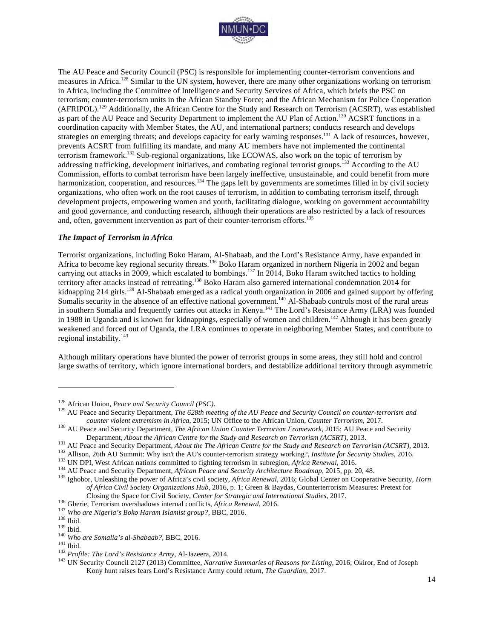

The AU Peace and Security Council (PSC) is responsible for implementing counter-terrorism conventions and measures in Africa.<sup>128</sup> Similar to the UN system, however, there are many other organizations working on terrorism in Africa, including the Committee of Intelligence and Security Services of Africa, which briefs the PSC on terrorism; counter-terrorism units in the African Standby Force; and the African Mechanism for Police Cooperation (AFRIPOL).<sup>129</sup> Additionally, the African Centre for the Study and Research on Terrorism (ACSRT), was established as part of the AU Peace and Security Department to implement the AU Plan of Action.<sup>130</sup> ACSRT functions in a coordination capacity with Member States, the AU, and international partners; conducts research and develops strategies on emerging threats; and develops capacity for early warning responses.131 A lack of resources, however, prevents ACSRT from fulfilling its mandate, and many AU members have not implemented the continental terrorism framework.132 Sub-regional organizations, like ECOWAS, also work on the topic of terrorism by addressing trafficking, development initiatives, and combating regional terrorist groups.<sup>133</sup> According to the AU Commission, efforts to combat terrorism have been largely ineffective, unsustainable, and could benefit from more harmonization, cooperation, and resources.<sup>134</sup> The gaps left by governments are sometimes filled in by civil society organizations, who often work on the root causes of terrorism, in addition to combating terrorism itself, through development projects, empowering women and youth, facilitating dialogue, working on government accountability and good governance, and conducting research, although their operations are also restricted by a lack of resources and, often, government intervention as part of their counter-terrorism efforts.<sup>135</sup>

#### *The Impact of Terrorism in Africa*

Terrorist organizations, including Boko Haram, Al-Shabaab, and the Lord's Resistance Army, have expanded in Africa to become key regional security threats.<sup>136</sup> Boko Haram organized in northern Nigeria in 2002 and began carrying out attacks in 2009, which escalated to bombings.<sup>137</sup> In 2014, Boko Haram switched tactics to holding territory after attacks instead of retreating.138 Boko Haram also garnered international condemnation 2014 for kidnapping 214 girls.<sup>139</sup> Al-Shabaab emerged as a radical youth organization in 2006 and gained support by offering Somalis security in the absence of an effective national government.<sup>140</sup> Al-Shabaab controls most of the rural areas in southern Somalia and frequently carries out attacks in Kenya.<sup>141</sup> The Lord's Resistance Army (LRA) was founded in 1988 in Uganda and is known for kidnappings, especially of women and children.<sup>142</sup> Although it has been greatly weakened and forced out of Uganda, the LRA continues to operate in neighboring Member States, and contribute to regional instability. $143$ 

Although military operations have blunted the power of terrorist groups in some areas, they still hold and control large swaths of territory, which ignore international borders, and destabilize additional territory through asymmetric

<sup>&</sup>lt;sup>128</sup> African Union, *Peace and Security Council (PSC)*.<br><sup>129</sup> AU Peace and Security Department, *The 628th meeting of the AU Peace and Security Council on counter-terrorism and counter violent extremism in Africa, 2015; U* 

<sup>&</sup>lt;sup>130</sup> AU Peace and Security Department, *The African Union Counter Terrorism Framework*, 2015; AU Peace and Security

Department, *About the African Centre for the Study and Research on Terrorism (ACSRT)*, 2013.<br><sup>131</sup> AU Peace and Security Department, *About the The African Centre for the Study and Research on Terrorism (ACSRT)*, 2013.<br><sup>1</sup>

*of Africa Civil Society Organizations Hub*, 2016, p. 1; Green & Baydas, Counterterrorism Measures: Pretext for

<sup>&</sup>lt;sup>136</sup> Gberie, Terrorism overshadows internal conflicts, *Africa Renewal*, 2016.<br><sup>137</sup> Who are Nigeria's Boko Haram Islamist group?, BBC, 2016.<br><sup>138</sup> Ibid.<br><sup>140</sup> Who are Somalia's al-Shabaab?, BBC, 2016.<br><sup>141</sup> Ibid.<br><sup>142</sup> P Kony hunt raises fears Lord's Resistance Army could return, *The Guardian*, 2017.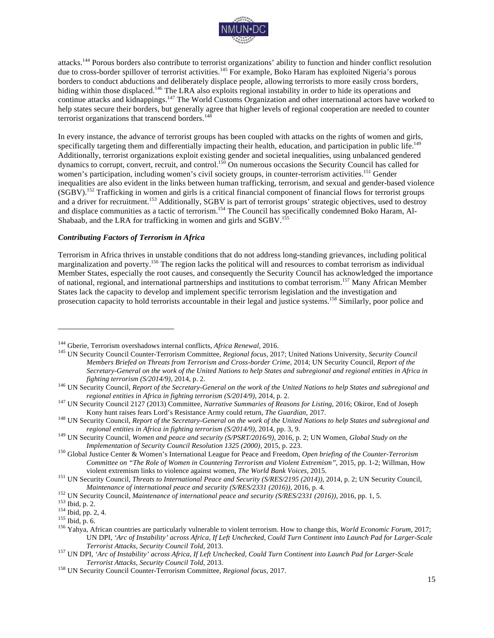

attacks.<sup>144</sup> Porous borders also contribute to terrorist organizations' ability to function and hinder conflict resolution due to cross-border spillover of terrorist activities.<sup>145</sup> For example, Boko Haram has exploited Nigeria's porous borders to conduct abductions and deliberately displace people, allowing terrorists to more easily cross borders, hiding within those displaced.<sup>146</sup> The LRA also exploits regional instability in order to hide its operations and continue attacks and kidnappings.<sup>147</sup> The World Customs Organization and other international actors have worked to help states secure their borders, but generally agree that higher levels of regional cooperation are needed to counter terrorist organizations that transcend borders.<sup>148</sup>

In every instance, the advance of terrorist groups has been coupled with attacks on the rights of women and girls, specifically targeting them and differentially impacting their health, education, and participation in public life.<sup>149</sup> Additionally, terrorist organizations exploit existing gender and societal inequalities, using unbalanced gendered dynamics to corrupt, convert, recruit, and control.150 On numerous occasions the Security Council has called for women's participation, including women's civil society groups, in counter-terrorism activities.<sup>151</sup> Gender inequalities are also evident in the links between human trafficking, terrorism, and sexual and gender-based violence (SGBV).152 Trafficking in women and girls is a critical financial component of financial flows for terrorist groups and a driver for recruitment.<sup>153</sup> Additionally, SGBV is part of terrorist groups' strategic objectives, used to destroy and displace communities as a tactic of terrorism.<sup>154</sup> The Council has specifically condemned Boko Haram, Al-Shabaab, and the LRA for trafficking in women and girls and SGBV.<sup>155</sup>

#### *Contributing Factors of Terrorism in Africa*

Terrorism in Africa thrives in unstable conditions that do not address long-standing grievances, including political marginalization and poverty.156 The region lacks the political will and resources to combat terrorism as individual Member States, especially the root causes, and consequently the Security Council has acknowledged the importance of national, regional, and international partnerships and institutions to combat terrorism.<sup>157</sup> Many African Member States lack the capacity to develop and implement specific terrorism legislation and the investigation and prosecution capacity to hold terrorists accountable in their legal and justice systems.<sup>158</sup> Similarly, poor police and

<sup>&</sup>lt;sup>144</sup> Gberie, Terrorism overshadows internal conflicts, *Africa Renewal*, 2016.<br><sup>145</sup> UN Security Council Counter-Terrorism Committee, *Regional focus*, 2017; United Nations University, *Security Council Members Briefed on Threats from Terrorism and Cross-border Crime*, 2014; UN Security Council, *Report of the Secretary-General on the work of the United Nations to help States and subregional and regional entities in Africa in* 

*fighting terrorism (S/2014/9)*, 2014, p. 2.<br><sup>146</sup> UN Security Council, *Report of the Secretary-General on the work of the United Nations to help States and subregional and* 

*regional entities in Africa in fighting terrorism (S/2014/9)*, 2014, p. 2. <sup>147</sup> UN Security Council 2127 (2013) Committee, *Narrative Summaries of Reasons for Listing*, 2016; Okiror, End of Joseph

Kony hunt raises fears Lord's Resistance Army could return, *The Guardian*, 2017.<br><sup>148</sup> UN Security Council, *Report of the Secretary-General on the work of the United Nations to help States and subregional and* 

*regional entities in Africa in fighting terrorism (S/2014/9)*, 2014, pp. 3, 9.<br><sup>149</sup> UN Security Council, *Women and peace and security (S/PSRT/2016/9)*, 2016, p. 2; UN Women, *Global Study on the* 

*Implementation of Security Council Resolution 1325 (2000)*, 2015, p. 223.<br><sup>150</sup> Global Justice Center & Women's International League for Peace and Freedom, *Open briefing of the Counter-Terrorism Committee on "The Role of Women in Countering Terrorism and Violent Extremism"*, 2015, pp. 1-2; Willman, How violent extremism links to violence against women, *The World Bank Voices*, 2015. <sup>151</sup> UN Security Council, *Threats to International Peace and Security (S/RES/2195 (2014))*, 2014, p. 2; UN Security Council,

Maintenance of international peace and security (S/RES/2331 (2016)), 2016, p. 4.<br><sup>152</sup> UN Security Council, *Maintenance of international peace and security (S/RES/2331 (2016))*, 2016, pp. 1, 5.<br><sup>153</sup> Ibid, p. 2.<br><sup>154</sup> Ibi

UN DPI, *'Arc of Instability' across Africa, If Left Unchecked, Could Turn Continent into Launch Pad for Larger-Scale* 

*Terrorist Attacks, Security Council Told, 2013.*<br><sup>157</sup> UN DPI, *'Arc of Instability' across Africa, If Left Unchecked, Could Turn Continent into Launch Pad for Larger-Scale <i>Terrorist Attacks, Security Council Told, 2013* 

*Terrorist Attacks, Security Council Told*, 2013. <sup>158</sup> UN Security Council Counter-Terrorism Committee, *Regional focus*, 2017.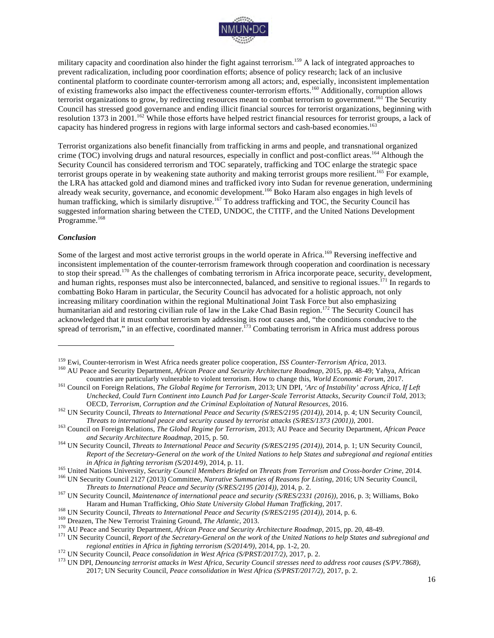

military capacity and coordination also hinder the fight against terrorism.<sup>159</sup> A lack of integrated approaches to prevent radicalization, including poor coordination efforts; absence of policy research; lack of an inclusive continental platform to coordinate counter-terrorism among all actors; and, especially, inconsistent implementation of existing frameworks also impact the effectiveness counter-terrorism efforts.<sup>160</sup> Additionally, corruption allows terrorist organizations to grow, by redirecting resources meant to combat terrorism to government.<sup>161</sup> The Security Council has stressed good governance and ending illicit financial sources for terrorist organizations, beginning with resolution 1373 in 2001.<sup>162</sup> While those efforts have helped restrict financial resources for terrorist groups, a lack of capacity has hindered progress in regions with large informal sectors and cash-based economies.163

Terrorist organizations also benefit financially from trafficking in arms and people, and transnational organized crime (TOC) involving drugs and natural resources, especially in conflict and post-conflict areas.<sup>164</sup> Although the Security Council has considered terrorism and TOC separately, trafficking and TOC enlarge the strategic space terrorist groups operate in by weakening state authority and making terrorist groups more resilient.<sup>165</sup> For example, the LRA has attacked gold and diamond mines and trafficked ivory into Sudan for revenue generation, undermining already weak security, governance, and economic development.<sup>166</sup> Boko Haram also engages in high levels of human trafficking, which is similarly disruptive.<sup>167</sup> To address trafficking and TOC, the Security Council has suggested information sharing between the CTED, UNDOC, the CTITF, and the United Nations Development Programme.<sup>168</sup>

#### *Conclusion*

 $\overline{a}$ 

Some of the largest and most active terrorist groups in the world operate in Africa.<sup>169</sup> Reversing ineffective and inconsistent implementation of the counter-terrorism framework through cooperation and coordination is necessary to stop their spread.<sup>170</sup> As the challenges of combating terrorism in Africa incorporate peace, security, development, and human rights, responses must also be interconnected, balanced, and sensitive to regional issues.<sup>171</sup> In regards to combatting Boko Haram in particular, the Security Council has advocated for a holistic approach, not only increasing military coordination within the regional Multinational Joint Task Force but also emphasizing humanitarian aid and restoring civilian rule of law in the Lake Chad Basin region.<sup>172</sup> The Security Council has acknowledged that it must combat terrorism by addressing its root causes and, "the conditions conducive to the spread of terrorism," in an effective, coordinated manner.<sup>173</sup> Combating terrorism in Africa must address porous

in Africa in fighting terrorism (S/2014/9), 2014, p. 11.<br><sup>165</sup> United Nations University, *Security Council Members Briefed on Threats from Terrorism and Cross-border Crime*, 2014.<br><sup>166</sup> UN Security Council 2127 (2013) Com

<sup>&</sup>lt;sup>159</sup> Ewi, Counter-terrorism in West Africa needs greater police cooperation, *ISS Counter-Terrorism Africa*, 2013.<br><sup>160</sup> AU Peace and Security Department, *African Peace and Security Architecture Roadmap*, 2015, pp. 48-4 countries are particularly vulnerable to violent terrorism. How to change this, World Economic Forum, 2017.<br><sup>161</sup> Council on Foreign Relations, *The Global Regime for Terrorism*, 2013; UN DPI, 'Arc of Instability' across A

*Unchecked, Could Turn Continent into Launch Pad for Larger-Scale Terrorist Attacks, Security Council Told*, 2013;

OECD, *Terrorism, Corruption and the Criminal Exploitation of Natural Resources*, 2016.<br><sup>162</sup> UN Security Council, *Threats to International peace and security caused by terrorist attacks (S/RES/1373 (2001))*, 2001.<br>*Threa* 

<sup>&</sup>lt;sup>163</sup> Council on Foreign Relations, The Global Regime for Terrorism, 2013; AU Peace and Security Department, African Peace

*and Security Architecture Roadmap,* 2015, p. 50. <sup>164</sup> UN Security Council, *Threats to International Peace and Security (S/RES/2195 (2014))*, 2014, p. 1; UN Security Council, *Report of the Secretary-General on the work of the United Nations to help States and subregional and regional entities* 

<sup>&</sup>lt;sup>167</sup> UN Security Council, *Maintenance of international peace and security (S/RES/2331 (2016))*, 2016, p. 3; Williams, Boko Haram and Human Trafficking, *Ohio State University Global Human Trafficking*, 2017.<br><sup>168</sup> UN Security Council, *Threats to International Peace and Security (S/RES/2195 (2014))*, 2014, p. 6.<br><sup>169</sup> Dreazen, The New Terroris

regional entities in Africa in fighting terrorism (S/2014/9), 2014, pp. 1-2, 20.<br><sup>172</sup> UN Security Council, *Peace consolidation in West Africa (S/PRST/2017/2)*, 2017, p. 2.<br><sup>173</sup> UN DPI, *Denouncing terrorist attacks in W* 

<sup>2017;</sup> UN Security Council, *Peace consolidation in West Africa (S/PRST/2017/2)*, 2017, p. 2.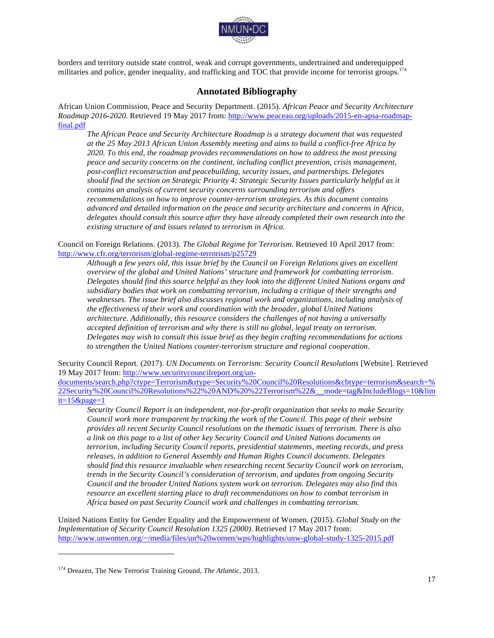

borders and territory outside state control, weak and corrupt governments, undertrained and underequipped militaries and police, gender inequality, and trafficking and TOC that provide income for terrorist groups.<sup>174</sup>

### **Annotated Bibliography**

African Union Commission, Peace and Security Department. (2015). *African Peace and Security Architecture Roadmap 2016-2020.* Retrieved 19 May 2017 from: http://www.peaceau.org/uploads/2015-en-apsa-roadmapfinal.pdf

*The African Peace and Security Architecture Roadmap is a strategy document that was requested at the 25 May 2013 African Union Assembly meeting and aims to build a conflict-free Africa by 2020. To this end, the roadmap provides recommendations on how to address the most pressing peace and security concerns on the continent, including conflict prevention, crisis management, post-conflict reconstruction and peacebuilding, security issues, and partnerships. Delegates should find the section on Strategic Priority 4: Strategic Security Issues particularly helpful as it contains an analysis of current security concerns surrounding terrorism and offers recommendations on how to improve counter-terrorism strategies. As this document contains advanced and detailed information on the peace and security architecture and concerns in Africa, delegates should consult this source after they have already completed their own research into the existing structure of and issues related to terrorism in Africa.* 

Council on Foreign Relations. (2013). *The Global Regime for Terrorism.* Retrieved 10 April 2017 from: http://www.cfr.org/terrorism/global-regime-terrorism/p25729

*Although a few years old, this issue brief by the Council on Foreign Relations gives an excellent overview of the global and United Nations' structure and framework for combatting terrorism. Delegates should find this source helpful as they look into the different United Nations organs and subsidiary bodies that work on combatting terrorism, including a critique of their strengths and weaknesses. The issue brief also discusses regional work and organizations, including analysis of the effectiveness of their work and coordination with the broader, global United Nations architecture. Additionally, this resource considers the challenges of not having a universally accepted definition of terrorism and why there is still no global, legal treaty on terrorism. Delegates may wish to consult this issue brief as they begin crafting recommendations for actions to strengthen the United Nations counter-terrorism structure and regional cooperation.*

Security Council Report. (2017). *UN Documents on Terrorism: Security Council Resolutions* [Website]. Retrieved 19 May 2017 from: http://www.securitycouncilreport.org/un-

documents/search.php?ctype=Terrorism&rtype=Security%20Council%20Resolutions&cbtype=terrorism&search=% 22Security%20Council%20Resolutions%22%20AND%20%22Terrorism%22&\_\_mode=tag&IncludeBlogs=10&lim it=15&page=1

*Security Council Report is an independent, not-for-profit organization that seeks to make Security Council work more transparent by tracking the work of the Council. This page of their website provides all recent Security Council resolutions on the thematic issues of terrorism. There is also a link on this page to a list of other key Security Council and United Nations documents on terrorism, including Security Council reports, presidential statements, meeting records, and press releases, in addition to General Assembly and Human Rights Council documents. Delegates should find this resource invaluable when researching recent Security Council work on terrorism, trends in the Security Council's consideration of terrorism, and updates from ongoing Security Council and the broader United Nations system work on terrorism. Delegates may also find this resource an excellent starting place to draft recommendations on how to combat terrorism in Africa based on past Security Council work and challenges in combatting terrorism.*

United Nations Entity for Gender Equality and the Empowerment of Women. (2015). *Global Study on the Implementation of Security Council Resolution 1325 (2000).* Retrieved 17 May 2017 from: http://www.unwomen.org/~/media/files/un%20women/wps/highlights/unw-global-study-1325-2015.pdf

<sup>174</sup> Dreazen, The New Terrorist Training Ground, *The Atlantic*, 2013.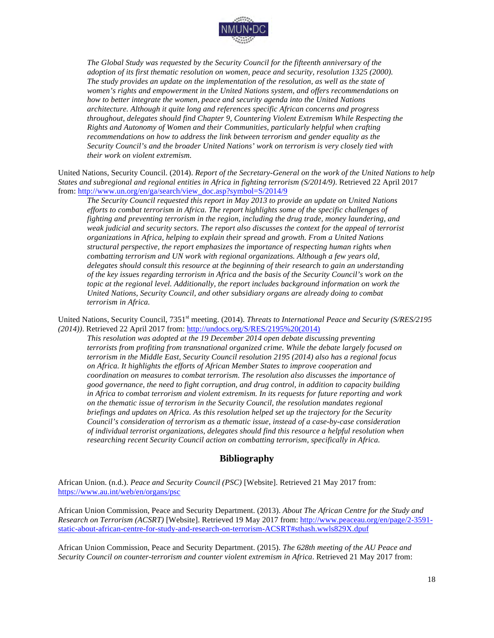

*The Global Study was requested by the Security Council for the fifteenth anniversary of the adoption of its first thematic resolution on women, peace and security, resolution 1325 (2000). The study provides an update on the implementation of the resolution, as well as the state of women's rights and empowerment in the United Nations system, and offers recommendations on how to better integrate the women, peace and security agenda into the United Nations architecture. Although it quite long and references specific African concerns and progress throughout, delegates should find Chapter 9, Countering Violent Extremism While Respecting the Rights and Autonomy of Women and their Communities, particularly helpful when crafting recommendations on how to address the link between terrorism and gender equality as the Security Council's and the broader United Nations' work on terrorism is very closely tied with their work on violent extremism.*

United Nations, Security Council. (2014). *Report of the Secretary-General on the work of the United Nations to help States and subregional and regional entities in Africa in fighting terrorism (S/2014/9)*. Retrieved 22 April 2017 from: http://www.un.org/en/ga/search/view\_doc.asp?symbol=S/2014/9

*The Security Council requested this report in May 2013 to provide an update on United Nations efforts to combat terrorism in Africa. The report highlights some of the specific challenges of fighting and preventing terrorism in the region, including the drug trade, money laundering, and weak judicial and security sectors. The report also discusses the context for the appeal of terrorist organizations in Africa, helping to explain their spread and growth. From a United Nations structural perspective, the report emphasizes the importance of respecting human rights when combatting terrorism and UN work with regional organizations. Although a few years old, delegates should consult this resource at the beginning of their research to gain an understanding of the key issues regarding terrorism in Africa and the basis of the Security Council's work on the topic at the regional level. Additionally, the report includes background information on work the United Nations, Security Council, and other subsidiary organs are already doing to combat terrorism in Africa.*

United Nations, Security Council, 7351<sup>st</sup> meeting. (2014). *Threats to International Peace and Security (S/RES/2195 (2014))*. Retrieved 22 April 2017 from: http://undocs.org/S/RES/2195%20(2014)

*This resolution was adopted at the 19 December 2014 open debate discussing preventing terrorists from profiting from transnational organized crime. While the debate largely focused on terrorism in the Middle East, Security Council resolution 2195 (2014) also has a regional focus on Africa. It highlights the efforts of African Member States to improve cooperation and coordination on measures to combat terrorism. The resolution also discusses the importance of good governance, the need to fight corruption, and drug control, in addition to capacity building in Africa to combat terrorism and violent extremism. In its requests for future reporting and work on the thematic issue of terrorism in the Security Council, the resolution mandates regional briefings and updates on Africa. As this resolution helped set up the trajectory for the Security Council's consideration of terrorism as a thematic issue, instead of a case-by-case consideration of individual terrorist organizations, delegates should find this resource a helpful resolution when researching recent Security Council action on combatting terrorism, specifically in Africa.* 

## **Bibliography**

African Union. (n.d.). *Peace and Security Council (PSC)* [Website]. Retrieved 21 May 2017 from: https://www.au.int/web/en/organs/psc

African Union Commission, Peace and Security Department. (2013). *About The African Centre for the Study and Research on Terrorism (ACSRT)* [Website]. Retrieved 19 May 2017 from: http://www.peaceau.org/en/page/2-3591 static-about-african-centre-for-study-and-research-on-terrorism-ACSRT#sthash.wwls829X.dpuf

African Union Commission, Peace and Security Department. (2015). *The 628th meeting of the AU Peace and Security Council on counter-terrorism and counter violent extremism in Africa*. Retrieved 21 May 2017 from: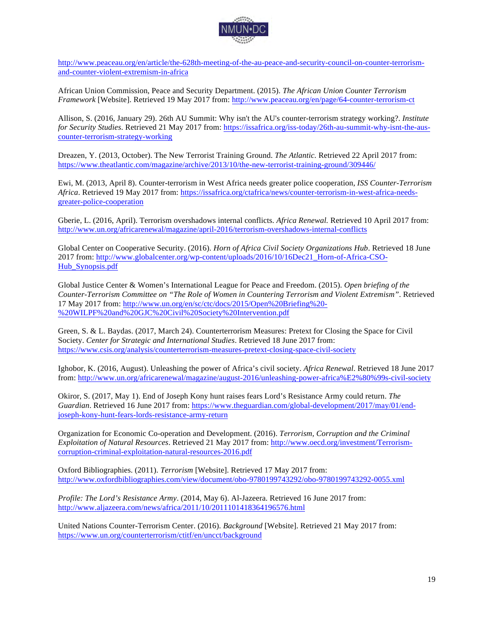

http://www.peaceau.org/en/article/the-628th-meeting-of-the-au-peace-and-security-council-on-counter-terrorismand-counter-violent-extremism-in-africa

African Union Commission, Peace and Security Department. (2015). *The African Union Counter Terrorism Framework* [Website]. Retrieved 19 May 2017 from: http://www.peaceau.org/en/page/64-counter-terrorism-ct

Allison, S. (2016, January 29). 26th AU Summit: Why isn't the AU's counter-terrorism strategy working?. *Institute for Security Studies*. Retrieved 21 May 2017 from: https://issafrica.org/iss-today/26th-au-summit-why-isnt-the-auscounter-terrorism-strategy-working

Dreazen, Y. (2013, October). The New Terrorist Training Ground. *The Atlantic.* Retrieved 22 April 2017 from: https://www.theatlantic.com/magazine/archive/2013/10/the-new-terrorist-training-ground/309446/

Ewi, M. (2013, April 8). Counter-terrorism in West Africa needs greater police cooperation, *ISS Counter-Terrorism Africa*. Retrieved 19 May 2017 from: https://issafrica.org/ctafrica/news/counter-terrorism-in-west-africa-needsgreater-police-cooperation

Gberie, L. (2016, April). Terrorism overshadows internal conflicts. *Africa Renewal.* Retrieved 10 April 2017 from: http://www.un.org/africarenewal/magazine/april-2016/terrorism-overshadows-internal-conflicts

Global Center on Cooperative Security. (2016). *Horn of Africa Civil Society Organizations Hub*. Retrieved 18 June 2017 from: http://www.globalcenter.org/wp-content/uploads/2016/10/16Dec21\_Horn-of-Africa-CSO-Hub\_Synopsis.pdf

Global Justice Center & Women's International League for Peace and Freedom. (2015). *Open briefing of the Counter-Terrorism Committee on "The Role of Women in Countering Terrorism and Violent Extremism"*. Retrieved 17 May 2017 from: http://www.un.org/en/sc/ctc/docs/2015/Open%20Briefing%20- %20WILPF%20and%20GJC%20Civil%20Society%20Intervention.pdf

Green, S. & L. Baydas. (2017, March 24). Counterterrorism Measures: Pretext for Closing the Space for Civil Society. *Center for Strategic and International Studies*. Retrieved 18 June 2017 from: https://www.csis.org/analysis/counterterrorism-measures-pretext-closing-space-civil-society

Ighobor, K. (2016, August). Unleashing the power of Africa's civil society. *Africa Renewal*. Retrieved 18 June 2017 from: http://www.un.org/africarenewal/magazine/august-2016/unleashing-power-africa%E2%80%99s-civil-society

Okiror, S. (2017, May 1). End of Joseph Kony hunt raises fears Lord's Resistance Army could return. *The Guardian*. Retrieved 16 June 2017 from: https://www.theguardian.com/global-development/2017/may/01/endjoseph-kony-hunt-fears-lords-resistance-army-return

Organization for Economic Co-operation and Development. (2016). *Terrorism, Corruption and the Criminal Exploitation of Natural Resources*. Retrieved 21 May 2017 from: http://www.oecd.org/investment/Terrorismcorruption-criminal-exploitation-natural-resources-2016.pdf

Oxford Bibliographies. (2011). *Terrorism* [Website]. Retrieved 17 May 2017 from: http://www.oxfordbibliographies.com/view/document/obo-9780199743292/obo-9780199743292-0055.xml

*Profile: The Lord's Resistance Army*. (2014, May 6). Al-Jazeera. Retrieved 16 June 2017 from: http://www.aljazeera.com/news/africa/2011/10/2011101418364196576.html

United Nations Counter-Terrorism Center. (2016). *Background* [Website]. Retrieved 21 May 2017 from: https://www.un.org/counterterrorism/ctitf/en/uncct/background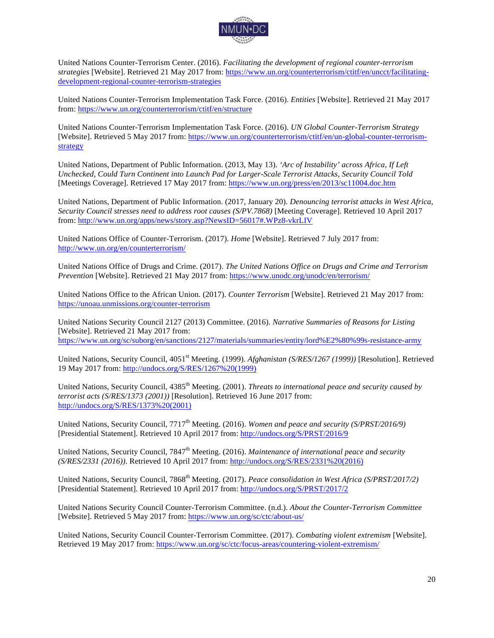

United Nations Counter-Terrorism Center. (2016). *Facilitating the development of regional counter-terrorism strategies* [Website]. Retrieved 21 May 2017 from: https://www.un.org/counterterrorism/ctitf/en/uncct/facilitatingdevelopment-regional-counter-terrorism-strategies

United Nations Counter-Terrorism Implementation Task Force. (2016). *Entities* [Website]. Retrieved 21 May 2017 from: https://www.un.org/counterterrorism/ctitf/en/structure

United Nations Counter-Terrorism Implementation Task Force. (2016). *UN Global Counter-Terrorism Strategy*  [Website]. Retrieved 5 May 2017 from: https://www.un.org/counterterrorism/ctitf/en/un-global-counter-terrorismstrategy

United Nations, Department of Public Information. (2013, May 13). *'Arc of Instability' across Africa, If Left Unchecked, Could Turn Continent into Launch Pad for Larger-Scale Terrorist Attacks, Security Council Told* [Meetings Coverage]. Retrieved 17 May 2017 from: https://www.un.org/press/en/2013/sc11004.doc.htm

United Nations, Department of Public Information. (2017, January 20). *Denouncing terrorist attacks in West Africa, Security Council stresses need to address root causes (S/PV.7868)* [Meeting Coverage]. Retrieved 10 April 2017 from: http://www.un.org/apps/news/story.asp?NewsID=56017#.WPz8-vkrLIV

United Nations Office of Counter-Terrorism. (2017). *Home* [Website]. Retrieved 7 July 2017 from: http://www.un.org/en/counterterrorism/

United Nations Office of Drugs and Crime. (2017). *The United Nations Office on Drugs and Crime and Terrorism Prevention* [Website]. Retrieved 21 May 2017 from: https://www.unodc.org/unodc/en/terrorism/

United Nations Office to the African Union. (2017). *Counter Terrorism* [Website]. Retrieved 21 May 2017 from: https://unoau.unmissions.org/counter-terrorism

United Nations Security Council 2127 (2013) Committee. (2016). *Narrative Summaries of Reasons for Listing*  [Website]. Retrieved 21 May 2017 from: https://www.un.org/sc/suborg/en/sanctions/2127/materials/summaries/entity/lord%E2%80%99s-resistance-army

United Nations, Security Council, 4051<sup>st</sup> Meeting. (1999). *Afghanistan (S/RES/1267 (1999))* [Resolution]. Retrieved 19 May 2017 from: http://undocs.org/S/RES/1267%20(1999)

United Nations, Security Council, 4385<sup>th</sup> Meeting. (2001). *Threats to international peace and security caused by terrorist acts (S/RES/1373 (2001))* [Resolution]. Retrieved 16 June 2017 from: http://undocs.org/S/RES/1373%20(2001)

United Nations, Security Council, 7717<sup>th</sup> Meeting. (2016). *Women and peace and security (S/PRST/2016/9)* [Presidential Statement]. Retrieved 10 April 2017 from: http://undocs.org/S/PRST/2016/9

United Nations, Security Council, 7847<sup>th</sup> Meeting. (2016). *Maintenance of international peace and security (S/RES/2331 (2016))*. Retrieved 10 April 2017 from: http://undocs.org/S/RES/2331%20(2016)

United Nations, Security Council, 7868<sup>th</sup> Meeting. (2017). *Peace consolidation in West Africa (S/PRST/2017/2)* [Presidential Statement]. Retrieved 10 April 2017 from: http://undocs.org/S/PRST/2017/2

United Nations Security Council Counter-Terrorism Committee. (n.d.). *About the Counter-Terrorism Committee*  [Website]. Retrieved 5 May 2017 from: https://www.un.org/sc/ctc/about-us/

United Nations, Security Council Counter-Terrorism Committee. (2017). *Combating violent extremism* [Website]. Retrieved 19 May 2017 from: https://www.un.org/sc/ctc/focus-areas/countering-violent-extremism/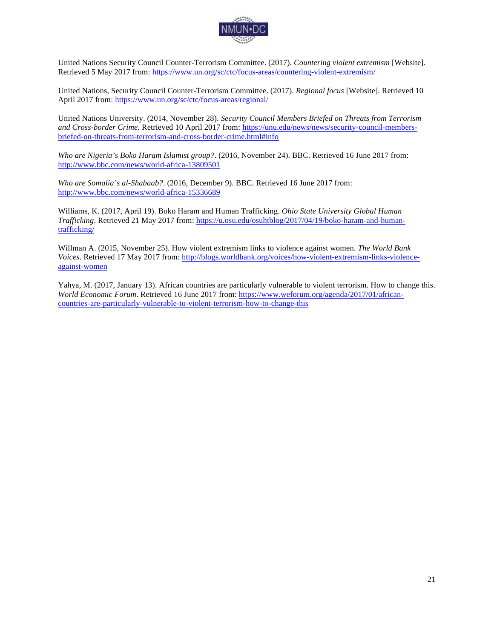

United Nations Security Council Counter-Terrorism Committee. (2017). *Countering violent extremism* [Website]. Retrieved 5 May 2017 from: https://www.un.org/sc/ctc/focus-areas/countering-violent-extremism/

United Nations, Security Council Counter-Terrorism Committee. (2017). *Regional focus* [Website]. Retrieved 10 April 2017 from: https://www.un.org/sc/ctc/focus-areas/regional/

United Nations University. (2014, November 28). *Security Council Members Briefed on Threats from Terrorism and Cross-border Crime.* Retrieved 10 April 2017 from: https://unu.edu/news/news/security-council-membersbriefed-on-threats-from-terrorism-and-cross-border-crime.html#info

*Who are Nigeria's Boko Haram Islamist group?*. (2016, November 24). BBC. Retrieved 16 June 2017 from: http://www.bbc.com/news/world-africa-13809501

*Who are Somalia's al-Shabaab?*. (2016, December 9). BBC. Retrieved 16 June 2017 from: http://www.bbc.com/news/world-africa-15336689

Williams, K. (2017, April 19). Boko Haram and Human Trafficking. *Ohio State University Global Human Trafficking*. Retrieved 21 May 2017 from: https://u.osu.edu/osuhtblog/2017/04/19/boko-haram-and-humantrafficking/

Willman A. (2015, November 25). How violent extremism links to violence against women. *The World Bank Voices.* Retrieved 17 May 2017 from: http://blogs.worldbank.org/voices/how-violent-extremism-links-violenceagainst-women

Yahya, M. (2017, January 13). African countries are particularly vulnerable to violent terrorism. How to change this. *World Economic Forum*. Retrieved 16 June 2017 from: https://www.weforum.org/agenda/2017/01/africancountries-are-particularly-vulnerable-to-violent-terrorism-how-to-change-this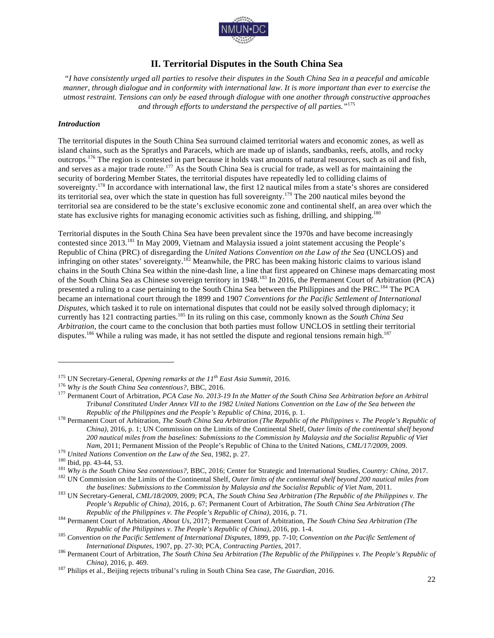

# **II. Territorial Disputes in the South China Sea**

*"I have consistently urged all parties to resolve their disputes in the South China Sea in a peaceful and amicable manner, through dialogue and in conformity with international law. It is more important than ever to exercise the utmost restraint. Tensions can only be eased through dialogue with one another through constructive approaches and through efforts to understand the perspective of all parties."*<sup>175</sup>

#### *Introduction*

The territorial disputes in the South China Sea surround claimed territorial waters and economic zones, as well as island chains, such as the Spratlys and Paracels, which are made up of islands, sandbanks, reefs, atolls, and rocky outcrops.<sup>176</sup> The region is contested in part because it holds vast amounts of natural resources, such as oil and fish, and serves as a major trade route.<sup>177</sup> As the South China Sea is crucial for trade, as well as for maintaining the security of bordering Member States, the territorial disputes have repeatedly led to colliding claims of sovereignty.<sup>178</sup> In accordance with international law, the first 12 nautical miles from a state's shores are considered its territorial sea, over which the state in question has full sovereignty.<sup>179</sup> The 200 nautical miles beyond the territorial sea are considered to be the state's exclusive economic zone and continental shelf, an area over which the state has exclusive rights for managing economic activities such as fishing, drilling, and shipping.<sup>180</sup>

Territorial disputes in the South China Sea have been prevalent since the 1970s and have become increasingly contested since 2013.<sup>181</sup> In May 2009, Vietnam and Malaysia issued a joint statement accusing the People's Republic of China (PRC) of disregarding the *United Nations Convention on the Law of the Sea* (UNCLOS) and infringing on other states' sovereignty.<sup>182</sup> Meanwhile, the PRC has been making historic claims to various island chains in the South China Sea within the nine-dash line, a line that first appeared on Chinese maps demarcating most of the South China Sea as Chinese sovereign territory in 1948.<sup>183</sup> In 2016, the Permanent Court of Arbitration (PCA) presented a ruling to a case pertaining to the South China Sea between the Philippines and the PRC.<sup>184</sup> The PCA became an international court through the 1899 and 1907 *Conventions for the Pacific Settlement of International Disputes*, which tasked it to rule on international disputes that could not be easily solved through diplomacy; it currently has 121 contracting parties.<sup>185</sup> In its ruling on this case, commonly known as the *South China Sea Arbitration*, the court came to the conclusion that both parties must follow UNCLOS in settling their territorial disputes.<sup>186</sup> While a ruling was made, it has not settled the dispute and regional tensions remain high.<sup>187</sup>

<sup>&</sup>lt;sup>175</sup> UN Secretary-General, *Opening remarks at the 11<sup>th</sup> East Asia Summit*, 2016.<br><sup>176</sup> Why is the South China Sea contentious?, BBC, 2016.<br><sup>177</sup> Permanent Court of Arbitration, *PCA Case No.* 2013-19 In the Matter of t *Tribunal Constituted Under Annex VII to the 1982 United Nations Convention on the Law of the Sea between the* 

*Republic of the Philippines and the People's Republic of China*, 2016, p. 1.<br><sup>178</sup> Permanent Court of Arbitration, *The South China Sea Arbitration (The Republic of the Philippines v. The People's Republic of China)*, 2016, p. 1; UN Commission on the Limits of the Continental Shelf, *Outer limits of the continental shelf beyond 200 nautical miles from the baselines: Submissions to the Commission by Malaysia and the Socialist Republic of Viet* 

*Nam, 2011; Permanent Mission of the People's Republic of China to the United Nations, CML/17/2009, 2009.*<br><sup>179</sup> *United Nations Convention on the Law of the Sea, 1982, p. 27.*<br><sup>180</sup> Ibid, pp. 43-44, 53.<br><sup>181</sup> *Why is the* 

the baselines: Submissions to the Commission by Malaysia and the Socialist Republic of Viet Nam, 2011.<br><sup>183</sup> UN Secretary-General, CML/18/2009, 2009; PCA, The South China Sea Arbitration (The Republic of the Philippines v.

*People's Republic of China)*, 2016, p. 67; Permanent Court of Arbitration, *The South China Sea Arbitration (The* 

Republic of the Philippines v. The People's Republic of China), 2016, p. 71.<br><sup>184</sup> Permanent Court of Arbitration, About Us, 2017; Permanent Court of Arbitration, *The South China Sea Arbitration* (*The* 

*Republic of the Philippines v. The People's Republic of China)*, 2016, pp. 1-4. <sup>185</sup> *Convention on the Pacific Settlement of International Disputes*, 1899, pp. 7-10; *Convention on the Pacific Settlement of* 

International Disputes, 1907, pp. 27-30; PCA, Contracting Parties, 2017.<br><sup>186</sup> Permanent Court of Arbitration, The South China Sea Arbitration (The Republic of the Philippines v. The People's Republic of *China)*, 2016, p. 469. <sup>187</sup> Philips et al., Beijing rejects tribunal's ruling in South China Sea case, *The Guardian*, 2016.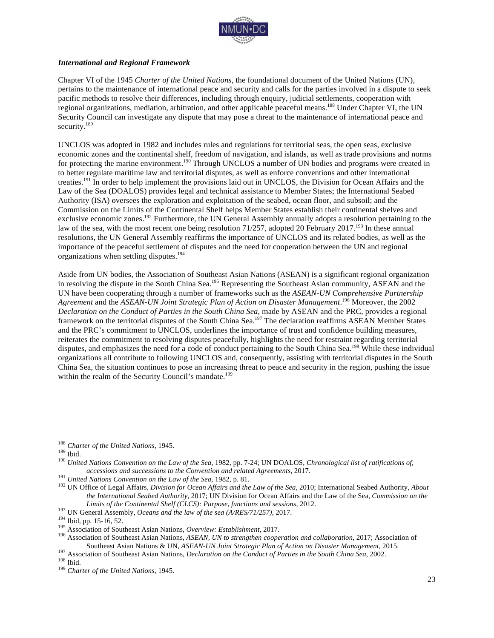

#### *International and Regional Framework*

Chapter VI of the 1945 *Charter of the United Nations*, the foundational document of the United Nations (UN), pertains to the maintenance of international peace and security and calls for the parties involved in a dispute to seek pacific methods to resolve their differences, including through enquiry, judicial settlements, cooperation with regional organizations, mediation, arbitration, and other applicable peaceful means.<sup>188</sup> Under Chapter VI, the UN Security Council can investigate any dispute that may pose a threat to the maintenance of international peace and security.<sup>189</sup>

UNCLOS was adopted in 1982 and includes rules and regulations for territorial seas, the open seas, exclusive economic zones and the continental shelf, freedom of navigation, and islands, as well as trade provisions and norms for protecting the marine environment.<sup>190</sup> Through UNCLOS a number of UN bodies and programs were created in to better regulate maritime law and territorial disputes, as well as enforce conventions and other international treaties.<sup>191</sup> In order to help implement the provisions laid out in UNCLOS, the Division for Ocean Affairs and the Law of the Sea (DOALOS) provides legal and technical assistance to Member States; the International Seabed Authority (ISA) oversees the exploration and exploitation of the seabed, ocean floor, and subsoil; and the Commission on the Limits of the Continental Shelf helps Member States establish their continental shelves and exclusive economic zones.<sup>192</sup> Furthermore, the UN General Assembly annually adopts a resolution pertaining to the law of the sea, with the most recent one being resolution 71/257, adopted 20 February 2017.<sup>193</sup> In these annual resolutions, the UN General Assembly reaffirms the importance of UNCLOS and its related bodies, as well as the importance of the peaceful settlement of disputes and the need for cooperation between the UN and regional organizations when settling disputes.<sup>194</sup>

Aside from UN bodies, the Association of Southeast Asian Nations (ASEAN) is a significant regional organization in resolving the dispute in the South China Sea.<sup>195</sup> Representing the Southeast Asian community, ASEAN and the UN have been cooperating through a number of frameworks such as the *ASEAN-UN Comprehensive Partnership Agreement* and the *ASEAN-UN Joint Strategic Plan of Action on Disaster Management*. <sup>196</sup> Moreover, the 2002 *Declaration on the Conduct of Parties in the South China Sea*, made by ASEAN and the PRC, provides a regional framework on the territorial disputes of the South China Sea.<sup>197</sup> The declaration reaffirms ASEAN Member States and the PRC's commitment to UNCLOS, underlines the importance of trust and confidence building measures, reiterates the commitment to resolving disputes peacefully, highlights the need for restraint regarding territorial disputes, and emphasizes the need for a code of conduct pertaining to the South China Sea.<sup>198</sup> While these individual organizations all contribute to following UNCLOS and, consequently, assisting with territorial disputes in the South China Sea, the situation continues to pose an increasing threat to peace and security in the region, pushing the issue within the realm of the Security Council's mandate.<sup>199</sup>

<sup>&</sup>lt;sup>188</sup> *Charter of the United Nations*, 1945.<br><sup>189</sup> Ibid.<br><sup>190</sup> *United Nations Convention on the Law of the Sea*, 1982, pp. 7-24; UN DOALOS, *Chronological list of ratifications of,* accessions and successions to the Convention and related Agreements, 2017.<br><sup>191</sup> United Nations Convention on the Law of the Sea, 1982, p. 81.<br><sup>192</sup> UN Office of Legal Affairs, Division for Ocean Affairs and the Law of the

*the International Seabed Authority*, 2017; UN Division for Ocean Affairs and the Law of the Sea, *Commission on the* 

Limits of the Continental Shelf (CLCS): Purpose, functions and sessions, 2012.<br><sup>193</sup> UN General Assembly, *Oceans and the law of the sea (A/RES/71/257)*, 2017.<br><sup>194</sup> Ibid, pp. 15-16, 52.<br><sup>195</sup> Association of Southeast Asia

<sup>&</sup>lt;sup>197</sup> Association of Southeast Asian Nations, *Declaration on the Conduct of Parties in the South China Sea*, 2002.<br><sup>198</sup> Charter of the United Nations, 1945.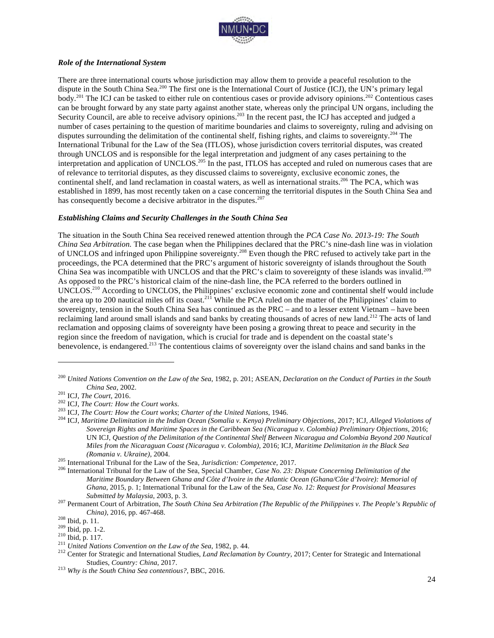

#### *Role of the International System*

There are three international courts whose jurisdiction may allow them to provide a peaceful resolution to the dispute in the South China Sea.<sup>200</sup> The first one is the International Court of Justice (ICJ), the UN's primary legal body.<sup>201</sup> The ICJ can be tasked to either rule on contentious cases or provide advisory opinions.<sup>202</sup> Contentious cases can be brought forward by any state party against another state, whereas only the principal UN organs, including the Security Council, are able to receive advisory opinions.<sup>203</sup> In the recent past, the ICJ has accepted and judged a number of cases pertaining to the question of maritime boundaries and claims to sovereignty, ruling and advising on disputes surrounding the delimitation of the continental shelf, fishing rights, and claims to sovereignty.<sup>204</sup> The International Tribunal for the Law of the Sea (ITLOS), whose jurisdiction covers territorial disputes, was created through UNCLOS and is responsible for the legal interpretation and judgment of any cases pertaining to the interpretation and application of UNCLOS.205 In the past, ITLOS has accepted and ruled on numerous cases that are of relevance to territorial disputes, as they discussed claims to sovereignty, exclusive economic zones, the continental shelf, and land reclamation in coastal waters, as well as international straits.<sup>206</sup> The PCA, which was established in 1899, has most recently taken on a case concerning the territorial disputes in the South China Sea and has consequently become a decisive arbitrator in the disputes.<sup>207</sup>

#### *Establishing Claims and Security Challenges in the South China Sea*

The situation in the South China Sea received renewed attention through the *PCA Case No. 2013-19: The South China Sea Arbitration.* The case began when the Philippines declared that the PRC's nine-dash line was in violation of UNCLOS and infringed upon Philippine sovereignty.<sup>208</sup> Even though the PRC refused to actively take part in the proceedings, the PCA determined that the PRC's argument of historic sovereignty of islands throughout the South China Sea was incompatible with UNCLOS and that the PRC's claim to sovereignty of these islands was invalid.<sup>209</sup> As opposed to the PRC's historical claim of the nine-dash line, the PCA referred to the borders outlined in UNCLOS.<sup>210</sup> According to UNCLOS, the Philippines' exclusive economic zone and continental shelf would include the area up to 200 nautical miles off its coast.<sup>211</sup> While the PCA ruled on the matter of the Philippines' claim to sovereignty, tension in the South China Sea has continued as the PRC – and to a lesser extent Vietnam – have been reclaiming land around small islands and sand banks by creating thousands of acres of new land.<sup>212</sup> The acts of land reclamation and opposing claims of sovereignty have been posing a growing threat to peace and security in the region since the freedom of navigation, which is crucial for trade and is dependent on the coastal state's benevolence, is endangered.<sup>213</sup> The contentious claims of sovereignty over the island chains and sand banks in the

<sup>200</sup> *United Nations Convention on the Law of the Sea*, 1982, p. 201; ASEAN, *Declaration on the Conduct of Parties in the South* 

China Sea, 2002.<br><sup>201</sup> ICJ, *The Court,* 2016.<br><sup>202</sup> ICJ, *The Court: How the Court works.*<br><sup>203</sup> ICJ, *The Court: How the Court works; Charter of the United Nations, 1946.*<br><sup>203</sup> ICJ, *The Court: How the Court works; Char Sovereign Rights and Maritime Spaces in the Caribbean Sea (Nicaragua v. Colombia) Preliminary Objections*, 2016; UN ICJ, *Question of the Delimitation of the Continental Shelf Between Nicaragua and Colombia Beyond 200 Nautical Miles from the Nicaraguan Coast (Nicaragua v. Colombia)*, 2016; ICJ, *Maritime Delimitation in the Black Sea* 

<sup>(</sup>Romania v. Ukraine), 2004.<br><sup>205</sup> International Tribunal for the Law of the Sea, Jurisdiction: Competence, 2017.<br><sup>206</sup> International Tribunal for the Law of the Sea, Special Chamber, Case No. 23: Dispute Concerning Delimit *Maritime Boundary Between Ghana and Côte d'Ivoire in the Atlantic Ocean (Ghana/Côte d'Ivoire): Memorial of Ghana*, 2015, p. 1; International Tribunal for the Law of the Sea, *Case No. 12: Request for Provisional Measures* 

*Submitted by Malaysia*, 2003, p. 3. <sup>207</sup> Permanent Court of Arbitration, *The South China Sea Arbitration (The Republic of the Philippines v. The People's Republic of* 

China), 2016, pp. 467-468.<br>
<sup>208</sup> Ibid, p. 11.<br>
<sup>209</sup> Ibid, pp. 1-2.<br>
<sup>210</sup> Ibid, p. 117.<br>
<sup>211</sup> United Nations Convention on the Law of the Sea, 1982, p. 44.<br>
<sup>212</sup> Center for Strategic and International Studies, *Land Re* Studies, *Country: China*, 2017. <sup>213</sup> *Why is the South China Sea contentious?*, BBC, 2016.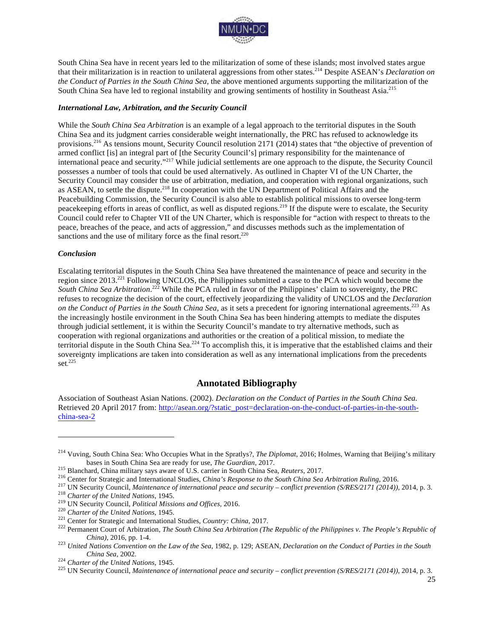

South China Sea have in recent years led to the militarization of some of these islands; most involved states argue that their militarization is in reaction to unilateral aggressions from other states.214 Despite ASEAN's *Declaration on the Conduct of Parties in the South China Sea,* the above mentioned arguments supporting the militarization of the South China Sea have led to regional instability and growing sentiments of hostility in Southeast Asia.<sup>215</sup>

#### *International Law, Arbitration, and the Security Council*

While the *South China Sea Arbitration* is an example of a legal approach to the territorial disputes in the South China Sea and its judgment carries considerable weight internationally, the PRC has refused to acknowledge its provisions.<sup>216</sup> As tensions mount, Security Council resolution 2171 (2014) states that "the objective of prevention of armed conflict [is] an integral part of [the Security Council's] primary responsibility for the maintenance of international peace and security."<sup>217</sup> While judicial settlements are one approach to the dispute, the Security Council possesses a number of tools that could be used alternatively. As outlined in Chapter VI of the UN Charter, the Security Council may consider the use of arbitration, mediation, and cooperation with regional organizations, such as ASEAN, to settle the dispute.<sup>218</sup> In cooperation with the UN Department of Political Affairs and the Peacebuilding Commission, the Security Council is also able to establish political missions to oversee long-term peacekeeping efforts in areas of conflict, as well as disputed regions.<sup>219</sup> If the dispute were to escalate, the Security Council could refer to Chapter VII of the UN Charter, which is responsible for "action with respect to threats to the peace, breaches of the peace, and acts of aggression," and discusses methods such as the implementation of sanctions and the use of military force as the final resort. $220$ 

#### *Conclusion*

 $\overline{a}$ 

Escalating territorial disputes in the South China Sea have threatened the maintenance of peace and security in the region since 2013.<sup>221</sup> Following UNCLOS, the Philippines submitted a case to the PCA which would become the South China Sea Arbitration.<sup>222</sup> While the PCA ruled in favor of the Philippines' claim to sovereignty, the PRC refuses to recognize the decision of the court, effectively jeopardizing the validity of UNCLOS and the *Declaration on the Conduct of Parties in the South China Sea*, as it sets a precedent for ignoring international agreements.<sup>223</sup> As the increasingly hostile environment in the South China Sea has been hindering attempts to mediate the disputes through judicial settlement, it is within the Security Council's mandate to try alternative methods, such as cooperation with regional organizations and authorities or the creation of a political mission, to mediate the territorial dispute in the South China Sea.<sup>224</sup> To accomplish this, it is imperative that the established claims and their sovereignty implications are taken into consideration as well as any international implications from the precedents set. 225

#### **Annotated Bibliography**

Association of Southeast Asian Nations. (2002). *Declaration on the Conduct of Parties in the South China Sea.*  Retrieved 20 April 2017 from: http://asean.org/?static\_post=declaration-on-the-conduct-of-parties-in-the-southchina-sea-2

<sup>&</sup>lt;sup>214</sup> Vuving, South China Sea: Who Occupies What in the Spratlys?, *The Diplomat*, 2016; Holmes, Warning that Beijing's military bases in South China Sea are ready for use, *The Guardian*, 2017.

<sup>&</sup>lt;sup>215</sup> Blanchard, China military says aware of U.S. carrier in South China Sea, *Reuters*, 2017.<br><sup>216</sup> Center for Strategic and International Studies, *China's Response to the South China Sea Arbitration Ruling*, 2016.<br><sup>217</sup>

*China)*, 2016, pp. 1-4. <sup>223</sup> *United Nations Convention on the Law of the Sea*, 1982, p. 129; ASEAN, *Declaration on the Conduct of Parties in the South China Sea*, 2002.<br><sup>224</sup> *Charter of the United Nations*, 1945.<br><sup>225</sup> UN Security Council, *Maintenance of international peace and security – <i>conflict prevention (S/RES/2171 (2014))*, 2014, p. 3.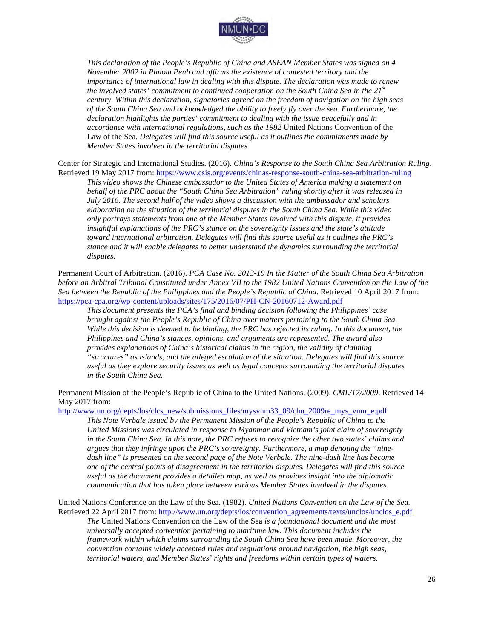

*This declaration of the People's Republic of China and ASEAN Member States was signed on 4 November 2002 in Phnom Penh and affirms the existence of contested territory and the importance of international law in dealing with this dispute. The declaration was made to renew the involved states' commitment to continued cooperation on the South China Sea in the 21st century. Within this declaration, signatories agreed on the freedom of navigation on the high seas of the South China Sea and acknowledged the ability to freely fly over the sea. Furthermore, the declaration highlights the parties' commitment to dealing with the issue peacefully and in accordance with international regulations, such as the 1982* United Nations Convention of the Law of the Sea*. Delegates will find this source useful as it outlines the commitments made by Member States involved in the territorial disputes.*

Center for Strategic and International Studies. (2016). *China's Response to the South China Sea Arbitration Ruling*. Retrieved 19 May 2017 from: https://www.csis.org/events/chinas-response-south-china-sea-arbitration-ruling

*This video shows the Chinese ambassador to the United States of America making a statement on behalf of the PRC about the "South China Sea Arbitration" ruling shortly after it was released in July 2016. The second half of the video shows a discussion with the ambassador and scholars elaborating on the situation of the territorial disputes in the South China Sea. While this video only portrays statements from one of the Member States involved with this dispute, it provides insightful explanations of the PRC's stance on the sovereignty issues and the state's attitude toward international arbitration. Delegates will find this source useful as it outlines the PRC's stance and it will enable delegates to better understand the dynamics surrounding the territorial disputes.*

Permanent Court of Arbitration. (2016). *PCA Case No. 2013-19 In the Matter of the South China Sea Arbitration before an Arbitral Tribunal Constituted under Annex VII to the 1982 United Nations Convention on the Law of the Sea between the Republic of the Philippines and the People's Republic of China*. Retrieved 10 April 2017 from: https://pca-cpa.org/wp-content/uploads/sites/175/2016/07/PH-CN-20160712-Award.pdf

*This document presents the PCA's final and binding decision following the Philippines' case brought against the People's Republic of China over matters pertaining to the South China Sea. While this decision is deemed to be binding, the PRC has rejected its ruling. In this document, the Philippines and China's stances, opinions, and arguments are represented. The award also provides explanations of China's historical claims in the region, the validity of claiming "structures" as islands, and the alleged escalation of the situation. Delegates will find this source useful as they explore security issues as well as legal concepts surrounding the territorial disputes in the South China Sea.*

Permanent Mission of the People's Republic of China to the United Nations. (2009). *CML/17/2009*. Retrieved 14 May 2017 from:

http://www.un.org/depts/los/clcs\_new/submissions\_files/mysvnm33\_09/chn\_2009re\_mys\_vnm\_e.pdf

*This Note Verbale issued by the Permanent Mission of the People's Republic of China to the United Missions was circulated in response to Myanmar and Vietnam's joint claim of sovereignty in the South China Sea. In this note, the PRC refuses to recognize the other two states' claims and argues that they infringe upon the PRC's sovereignty. Furthermore, a map denoting the "ninedash line" is presented on the second page of the Note Verbale. The nine-dash line has become one of the central points of disagreement in the territorial disputes. Delegates will find this source useful as the document provides a detailed map, as well as provides insight into the diplomatic communication that has taken place between various Member States involved in the disputes.*

United Nations Conference on the Law of the Sea. (1982). *United Nations Convention on the Law of the Sea.*  Retrieved 22 April 2017 from: http://www.un.org/depts/los/convention\_agreements/texts/unclos/unclos\_e.pdf *The* United Nations Convention on the Law of the Sea *is a foundational document and the most universally accepted convention pertaining to maritime law. This document includes the* 

*framework within which claims surrounding the South China Sea have been made. Moreover, the convention contains widely accepted rules and regulations around navigation, the high seas, territorial waters, and Member States' rights and freedoms within certain types of waters.*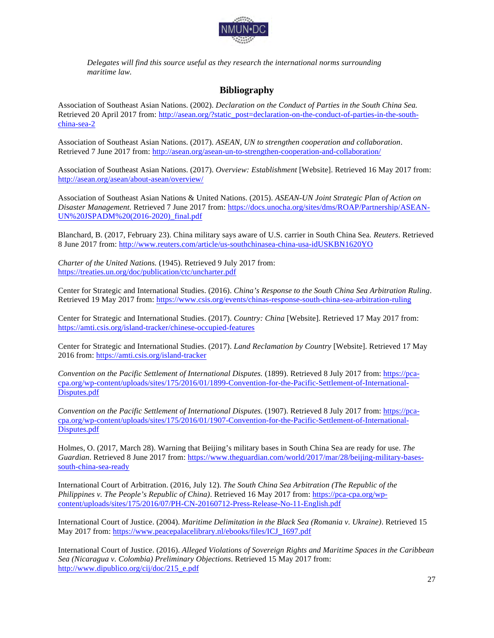

*Delegates will find this source useful as they research the international norms surrounding maritime law.*

# **Bibliography**

Association of Southeast Asian Nations. (2002). *Declaration on the Conduct of Parties in the South China Sea.*  Retrieved 20 April 2017 from: http://asean.org/?static\_post=declaration-on-the-conduct-of-parties-in-the-southchina-sea-2

Association of Southeast Asian Nations. (2017). *ASEAN, UN to strengthen cooperation and collaboration*. Retrieved 7 June 2017 from: http://asean.org/asean-un-to-strengthen-cooperation-and-collaboration/

Association of Southeast Asian Nations. (2017). *Overview: Establishment* [Website]. Retrieved 16 May 2017 from: http://asean.org/asean/about-asean/overview/

Association of Southeast Asian Nations & United Nations. (2015). *ASEAN-UN Joint Strategic Plan of Action on Disaster Management.* Retrieved 7 June 2017 from: https://docs.unocha.org/sites/dms/ROAP/Partnership/ASEAN-UN%20JSPADM%20(2016-2020)\_final.pdf

Blanchard, B. (2017, February 23). China military says aware of U.S. carrier in South China Sea*. Reuters*. Retrieved 8 June 2017 from: http://www.reuters.com/article/us-southchinasea-china-usa-idUSKBN1620YO

*Charter of the United Nations.* (1945). Retrieved 9 July 2017 from: https://treaties.un.org/doc/publication/ctc/uncharter.pdf

Center for Strategic and International Studies. (2016). *China's Response to the South China Sea Arbitration Ruling*. Retrieved 19 May 2017 from: https://www.csis.org/events/chinas-response-south-china-sea-arbitration-ruling

Center for Strategic and International Studies. (2017). *Country: China* [Website]. Retrieved 17 May 2017 from: https://amti.csis.org/island-tracker/chinese-occupied-features

Center for Strategic and International Studies. (2017). *Land Reclamation by Country* [Website]. Retrieved 17 May 2016 from: https://amti.csis.org/island-tracker

*Convention on the Pacific Settlement of International Disputes.* (1899). Retrieved 8 July 2017 from: https://pcacpa.org/wp-content/uploads/sites/175/2016/01/1899-Convention-for-the-Pacific-Settlement-of-International-Disputes.pdf

*Convention on the Pacific Settlement of International Disputes.* (1907). Retrieved 8 July 2017 from: https://pcacpa.org/wp-content/uploads/sites/175/2016/01/1907-Convention-for-the-Pacific-Settlement-of-International-Disputes.pdf

Holmes, O. (2017, March 28). Warning that Beijing's military bases in South China Sea are ready for use. *The Guardian*. Retrieved 8 June 2017 from: https://www.theguardian.com/world/2017/mar/28/beijing-military-basessouth-china-sea-ready

International Court of Arbitration. (2016, July 12). *The South China Sea Arbitration (The Republic of the Philippines v. The People's Republic of China)*. Retrieved 16 May 2017 from: https://pca-cpa.org/wpcontent/uploads/sites/175/2016/07/PH-CN-20160712-Press-Release-No-11-English.pdf

International Court of Justice. (2004). *Maritime Delimitation in the Black Sea (Romania v. Ukraine)*. Retrieved 15 May 2017 from: https://www.peacepalacelibrary.nl/ebooks/files/ICJ\_1697.pdf

International Court of Justice. (2016). *Alleged Violations of Sovereign Rights and Maritime Spaces in the Caribbean Sea (Nicaragua v. Colombia) Preliminary Objections*. Retrieved 15 May 2017 from: http://www.dipublico.org/cij/doc/215\_e.pdf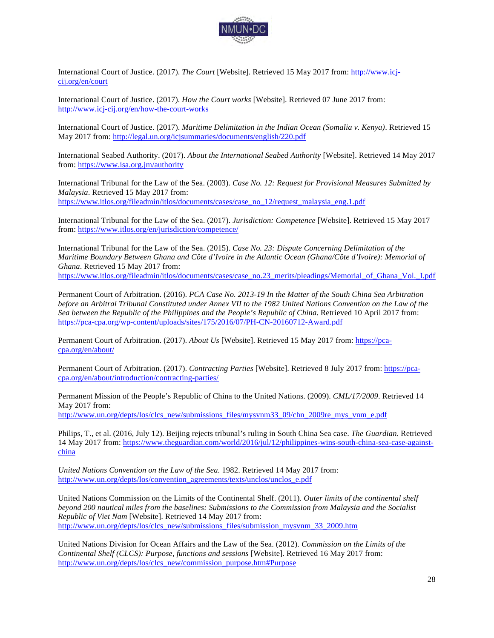

International Court of Justice. (2017). *The Court* [Website]. Retrieved 15 May 2017 from: http://www.icjcij.org/en/court

International Court of Justice. (2017). *How the Court works* [Website]. Retrieved 07 June 2017 from: http://www.icj-cij.org/en/how-the-court-works

International Court of Justice. (2017). *Maritime Delimitation in the Indian Ocean (Somalia v. Kenya)*. Retrieved 15 May 2017 from: http://legal.un.org/icjsummaries/documents/english/220.pdf

International Seabed Authority. (2017). *About the International Seabed Authority* [Website]. Retrieved 14 May 2017 from: https://www.isa.org.jm/authority

International Tribunal for the Law of the Sea. (2003). *Case No. 12: Request for Provisional Measures Submitted by Malaysia*. Retrieved 15 May 2017 from: https://www.itlos.org/fileadmin/itlos/documents/cases/case\_no\_12/request\_malaysia\_eng.1.pdf

International Tribunal for the Law of the Sea. (2017). *Jurisdiction: Competence* [Website]. Retrieved 15 May 2017 from: https://www.itlos.org/en/jurisdiction/competence/

International Tribunal for the Law of the Sea. (2015). *Case No. 23: Dispute Concerning Delimitation of the Maritime Boundary Between Ghana and Côte d'Ivoire in the Atlantic Ocean (Ghana/Côte d'Ivoire): Memorial of Ghana*. Retrieved 15 May 2017 from: https://www.itlos.org/fileadmin/itlos/documents/cases/case\_no.23\_merits/pleadings/Memorial\_of\_Ghana\_Vol.\_I.pdf

Permanent Court of Arbitration. (2016). *PCA Case No. 2013-19 In the Matter of the South China Sea Arbitration before an Arbitral Tribunal Constituted under Annex VII to the 1982 United Nations Convention on the Law of the Sea between the Republic of the Philippines and the People's Republic of China*. Retrieved 10 April 2017 from: https://pca-cpa.org/wp-content/uploads/sites/175/2016/07/PH-CN-20160712-Award.pdf

Permanent Court of Arbitration. (2017). *About Us* [Website]. Retrieved 15 May 2017 from: https://pcacpa.org/en/about/

Permanent Court of Arbitration. (2017). *Contracting Parties* [Website]. Retrieved 8 July 2017 from: https://pcacpa.org/en/about/introduction/contracting-parties/

Permanent Mission of the People's Republic of China to the United Nations. (2009). *CML/17/2009*. Retrieved 14 May 2017 from:

http://www.un.org/depts/los/clcs\_new/submissions\_files/mysvnm33\_09/chn\_2009re\_mys\_vnm\_e.pdf

Philips, T., et al. (2016, July 12). Beijing rejects tribunal's ruling in South China Sea case. *The Guardian*. Retrieved 14 May 2017 from: https://www.theguardian.com/world/2016/jul/12/philippines-wins-south-china-sea-case-againstchina

*United Nations Convention on the Law of the Sea.* 1982. Retrieved 14 May 2017 from: http://www.un.org/depts/los/convention\_agreements/texts/unclos/unclos\_e.pdf

United Nations Commission on the Limits of the Continental Shelf. (2011). *Outer limits of the continental shelf beyond 200 nautical miles from the baselines: Submissions to the Commission from Malaysia and the Socialist Republic of Viet Nam* [Website]. Retrieved 14 May 2017 from: http://www.un.org/depts/los/clcs\_new/submissions\_files/submission\_mysvnm\_33\_2009.htm

United Nations Division for Ocean Affairs and the Law of the Sea. (2012). *Commission on the Limits of the Continental Shelf (CLCS): Purpose, functions and sessions* [Website]. Retrieved 16 May 2017 from: http://www.un.org/depts/los/clcs\_new/commission\_purpose.htm#Purpose